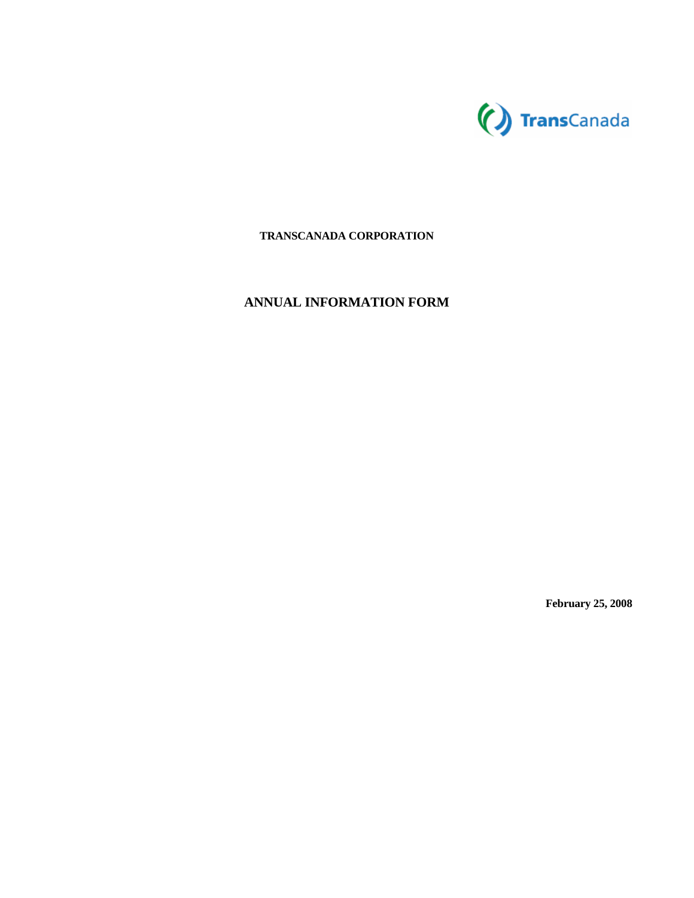

# **TRANSCANADA CORPORATION**

# **ANNUAL INFORMATION FORM**

**February 25, 2008**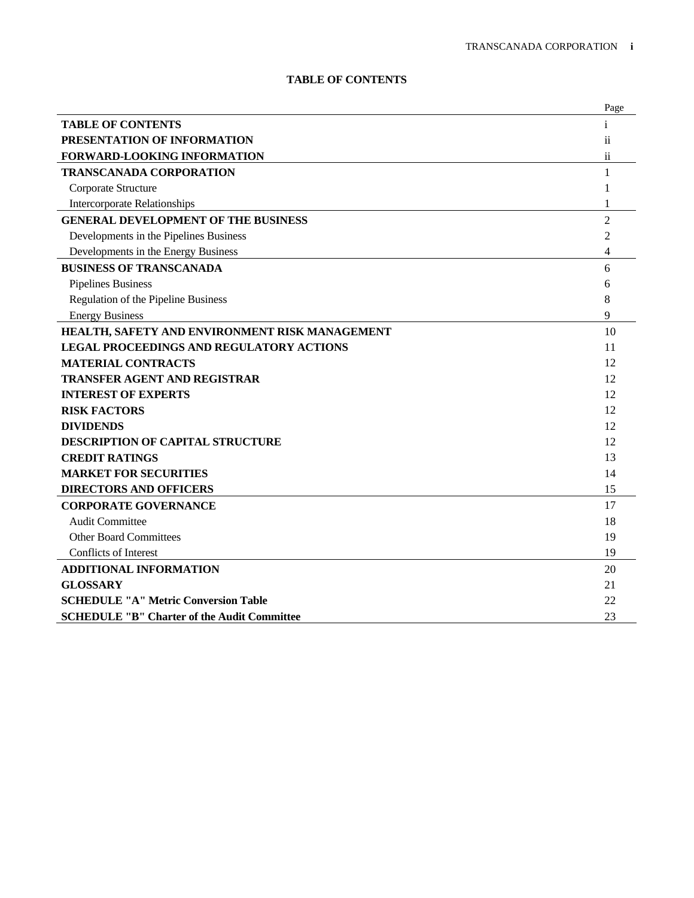# **TABLE OF CONTENTS**

|                                                    | Page           |
|----------------------------------------------------|----------------|
| <b>TABLE OF CONTENTS</b>                           |                |
| PRESENTATION OF INFORMATION                        | ii.            |
| FORWARD-LOOKING INFORMATION                        | $\rm ii$       |
| <b>TRANSCANADA CORPORATION</b>                     | 1              |
| Corporate Structure                                | 1              |
| <b>Intercorporate Relationships</b>                | 1              |
| <b>GENERAL DEVELOPMENT OF THE BUSINESS</b>         | $\overline{2}$ |
| Developments in the Pipelines Business             | 2              |
| Developments in the Energy Business                | 4              |
| <b>BUSINESS OF TRANSCANADA</b>                     | 6              |
| <b>Pipelines Business</b>                          | 6              |
| Regulation of the Pipeline Business                | 8              |
| <b>Energy Business</b>                             | 9              |
| HEALTH, SAFETY AND ENVIRONMENT RISK MANAGEMENT     | 10             |
| <b>LEGAL PROCEEDINGS AND REGULATORY ACTIONS</b>    | 11             |
| <b>MATERIAL CONTRACTS</b>                          | 12             |
| <b>TRANSFER AGENT AND REGISTRAR</b>                | 12             |
| <b>INTEREST OF EXPERTS</b>                         | 12             |
| <b>RISK FACTORS</b>                                | 12             |
| <b>DIVIDENDS</b>                                   | 12             |
| <b>DESCRIPTION OF CAPITAL STRUCTURE</b>            | 12             |
| <b>CREDIT RATINGS</b>                              | 13             |
| <b>MARKET FOR SECURITIES</b>                       | 14             |
| <b>DIRECTORS AND OFFICERS</b>                      | 15             |
| <b>CORPORATE GOVERNANCE</b>                        | 17             |
| <b>Audit Committee</b>                             | 18             |
| <b>Other Board Committees</b>                      | 19             |
| Conflicts of Interest                              | 19             |
| <b>ADDITIONAL INFORMATION</b>                      | 20             |
| <b>GLOSSARY</b>                                    | 21             |
| <b>SCHEDULE "A" Metric Conversion Table</b>        | 22             |
| <b>SCHEDULE "B" Charter of the Audit Committee</b> | 23             |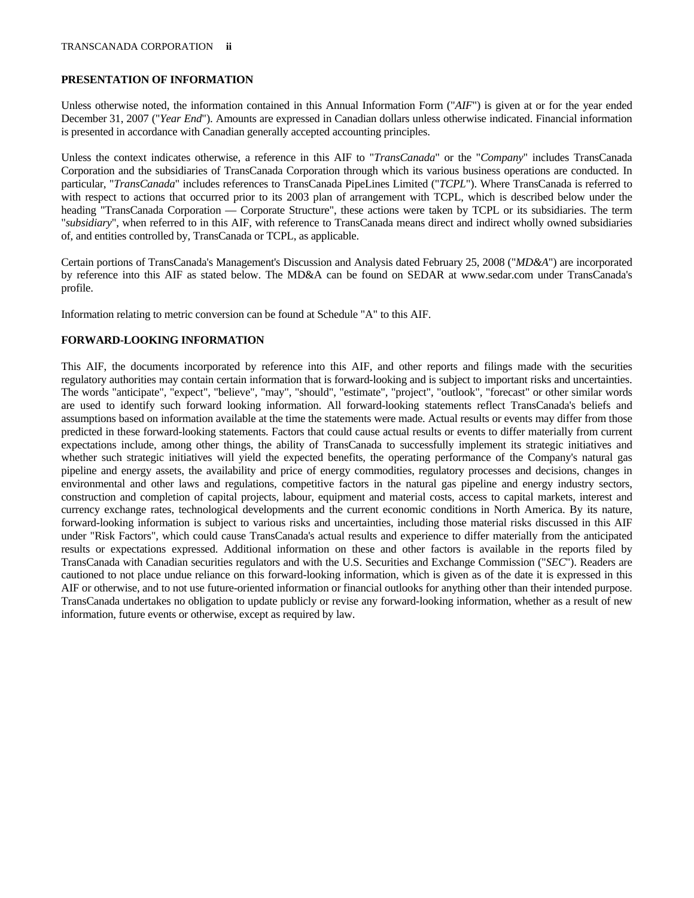# **PRESENTATION OF INFORMATION**

Unless otherwise noted, the information contained in this Annual Information Form ("*AIF*") is given at or for the year ended December 31, 2007 ("*Year End*"). Amounts are expressed in Canadian dollars unless otherwise indicated. Financial information is presented in accordance with Canadian generally accepted accounting principles.

Unless the context indicates otherwise, a reference in this AIF to "*TransCanada*" or the "*Company*" includes TransCanada Corporation and the subsidiaries of TransCanada Corporation through which its various business operations are conducted. In particular, "*TransCanada*" includes references to TransCanada PipeLines Limited ("*TCPL*"). Where TransCanada is referred to with respect to actions that occurred prior to its 2003 plan of arrangement with TCPL, which is described below under the heading "TransCanada Corporation — Corporate Structure", these actions were taken by TCPL or its subsidiaries. The term "*subsidiary*", when referred to in this AIF, with reference to TransCanada means direct and indirect wholly owned subsidiaries of, and entities controlled by, TransCanada or TCPL, as applicable.

Certain portions of TransCanada's Management's Discussion and Analysis dated February 25, 2008 ("*MD&A*") are incorporated by reference into this AIF as stated below. The MD&A can be found on SEDAR at www.sedar.com under TransCanada's profile.

Information relating to metric conversion can be found at Schedule "A" to this AIF.

# **FORWARD-LOOKING INFORMATION**

This AIF, the documents incorporated by reference into this AIF, and other reports and filings made with the securities regulatory authorities may contain certain information that is forward-looking and is subject to important risks and uncertainties. The words "anticipate", "expect", "believe", "may", "should", "estimate", "project", "outlook", "forecast" or other similar words are used to identify such forward looking information. All forward-looking statements reflect TransCanada's beliefs and assumptions based on information available at the time the statements were made. Actual results or events may differ from those predicted in these forward-looking statements. Factors that could cause actual results or events to differ materially from current expectations include, among other things, the ability of TransCanada to successfully implement its strategic initiatives and whether such strategic initiatives will yield the expected benefits, the operating performance of the Company's natural gas pipeline and energy assets, the availability and price of energy commodities, regulatory processes and decisions, changes in environmental and other laws and regulations, competitive factors in the natural gas pipeline and energy industry sectors, construction and completion of capital projects, labour, equipment and material costs, access to capital markets, interest and currency exchange rates, technological developments and the current economic conditions in North America. By its nature, forward-looking information is subject to various risks and uncertainties, including those material risks discussed in this AIF under "Risk Factors", which could cause TransCanada's actual results and experience to differ materially from the anticipated results or expectations expressed. Additional information on these and other factors is available in the reports filed by TransCanada with Canadian securities regulators and with the U.S. Securities and Exchange Commission ("*SEC*"). Readers are cautioned to not place undue reliance on this forward-looking information, which is given as of the date it is expressed in this AIF or otherwise, and to not use future-oriented information or financial outlooks for anything other than their intended purpose. TransCanada undertakes no obligation to update publicly or revise any forward-looking information, whether as a result of new information, future events or otherwise, except as required by law.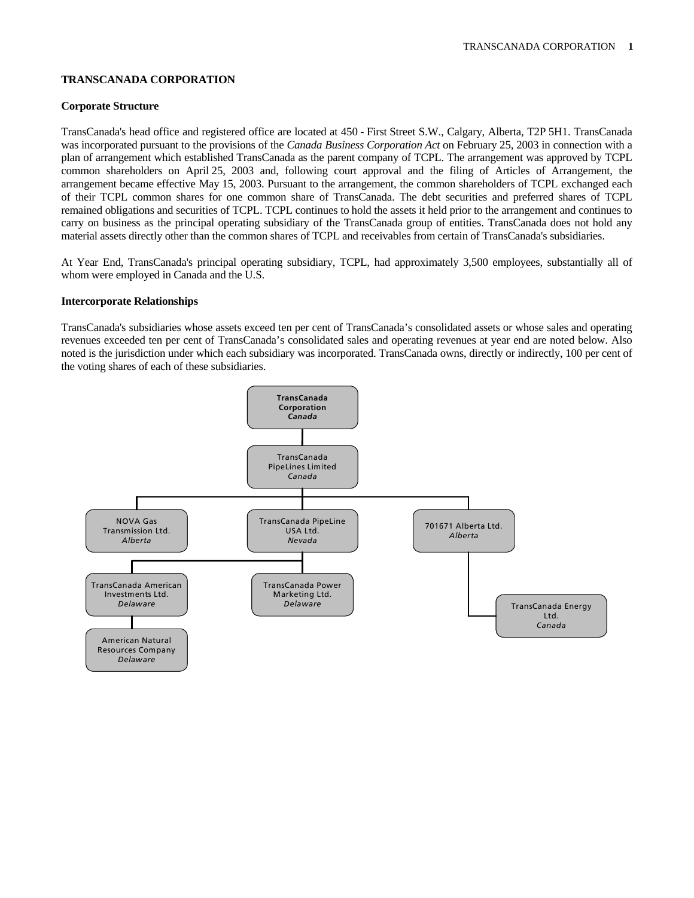# **TRANSCANADA CORPORATION**

# **Corporate Structure**

TransCanada's head office and registered office are located at 450 - First Street S.W., Calgary, Alberta, T2P 5H1. TransCanada was incorporated pursuant to the provisions of the *Canada Business Corporation Act* on February 25, 2003 in connection with a plan of arrangement which established TransCanada as the parent company of TCPL. The arrangement was approved by TCPL common shareholders on April 25, 2003 and, following court approval and the filing of Articles of Arrangement, the arrangement became effective May 15, 2003. Pursuant to the arrangement, the common shareholders of TCPL exchanged each of their TCPL common shares for one common share of TransCanada. The debt securities and preferred shares of TCPL remained obligations and securities of TCPL. TCPL continues to hold the assets it held prior to the arrangement and continues to carry on business as the principal operating subsidiary of the TransCanada group of entities. TransCanada does not hold any material assets directly other than the common shares of TCPL and receivables from certain of TransCanada's subsidiaries.

At Year End, TransCanada's principal operating subsidiary, TCPL, had approximately 3,500 employees, substantially all of whom were employed in Canada and the U.S.

# **Intercorporate Relationships**

TransCanada's subsidiaries whose assets exceed ten per cent of TransCanada's consolidated assets or whose sales and operating revenues exceeded ten per cent of TransCanada's consolidated sales and operating revenues at year end are noted below. Also noted is the jurisdiction under which each subsidiary was incorporated. TransCanada owns, directly or indirectly, 100 per cent of the voting shares of each of these subsidiaries.

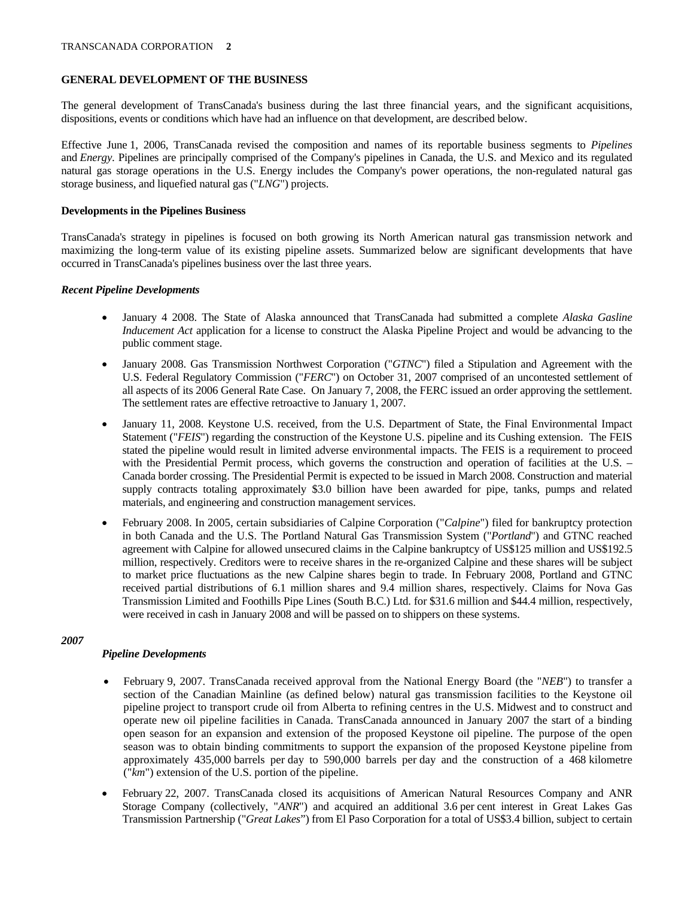# **GENERAL DEVELOPMENT OF THE BUSINESS**

The general development of TransCanada's business during the last three financial years, and the significant acquisitions, dispositions, events or conditions which have had an influence on that development, are described below.

Effective June 1, 2006, TransCanada revised the composition and names of its reportable business segments to *Pipelines* and *Energy*. Pipelines are principally comprised of the Company's pipelines in Canada, the U.S. and Mexico and its regulated natural gas storage operations in the U.S. Energy includes the Company's power operations, the non-regulated natural gas storage business, and liquefied natural gas ("*LNG*") projects.

# **Developments in the Pipelines Business**

TransCanada's strategy in pipelines is focused on both growing its North American natural gas transmission network and maximizing the long-term value of its existing pipeline assets. Summarized below are significant developments that have occurred in TransCanada's pipelines business over the last three years.

# *Recent Pipeline Developments*

- January 4 2008. The State of Alaska announced that TransCanada had submitted a complete *Alaska Gasline Inducement Act* application for a license to construct the Alaska Pipeline Project and would be advancing to the public comment stage.
- January 2008. Gas Transmission Northwest Corporation ("*GTNC*") filed a Stipulation and Agreement with the U.S. Federal Regulatory Commission ("*FERC*") on October 31, 2007 comprised of an uncontested settlement of all aspects of its 2006 General Rate Case. On January 7, 2008, the FERC issued an order approving the settlement. The settlement rates are effective retroactive to January 1, 2007.
- January 11, 2008. Keystone U.S. received, from the U.S. Department of State, the Final Environmental Impact Statement ("*FEIS*") regarding the construction of the Keystone U.S. pipeline and its Cushing extension. The FEIS stated the pipeline would result in limited adverse environmental impacts. The FEIS is a requirement to proceed with the Presidential Permit process, which governs the construction and operation of facilities at the U.S. – Canada border crossing. The Presidential Permit is expected to be issued in March 2008. Construction and material supply contracts totaling approximately \$3.0 billion have been awarded for pipe, tanks, pumps and related materials, and engineering and construction management services.
- February 2008. In 2005, certain subsidiaries of Calpine Corporation ("*Calpine*") filed for bankruptcy protection in both Canada and the U.S. The Portland Natural Gas Transmission System ("*Portland*") and GTNC reached agreement with Calpine for allowed unsecured claims in the Calpine bankruptcy of US\$125 million and US\$192.5 million, respectively. Creditors were to receive shares in the re-organized Calpine and these shares will be subject to market price fluctuations as the new Calpine shares begin to trade. In February 2008, Portland and GTNC received partial distributions of 6.1 million shares and 9.4 million shares, respectively. Claims for Nova Gas Transmission Limited and Foothills Pipe Lines (South B.C.) Ltd. for \$31.6 million and \$44.4 million, respectively, were received in cash in January 2008 and will be passed on to shippers on these systems.

# *2007*

# *Pipeline Developments*

- February 9, 2007. TransCanada received approval from the National Energy Board (the "*NEB*") to transfer a section of the Canadian Mainline (as defined below) natural gas transmission facilities to the Keystone oil pipeline project to transport crude oil from Alberta to refining centres in the U.S. Midwest and to construct and operate new oil pipeline facilities in Canada. TransCanada announced in January 2007 the start of a binding open season for an expansion and extension of the proposed Keystone oil pipeline. The purpose of the open season was to obtain binding commitments to support the expansion of the proposed Keystone pipeline from approximately 435,000 barrels per day to 590,000 barrels per day and the construction of a 468 kilometre ("*km*") extension of the U.S. portion of the pipeline.
- February 22, 2007. TransCanada closed its acquisitions of American Natural Resources Company and ANR Storage Company (collectively, "*ANR*") and acquired an additional 3.6 per cent interest in Great Lakes Gas Transmission Partnership ("*Great Lakes*") from El Paso Corporation for a total of US\$3.4 billion, subject to certain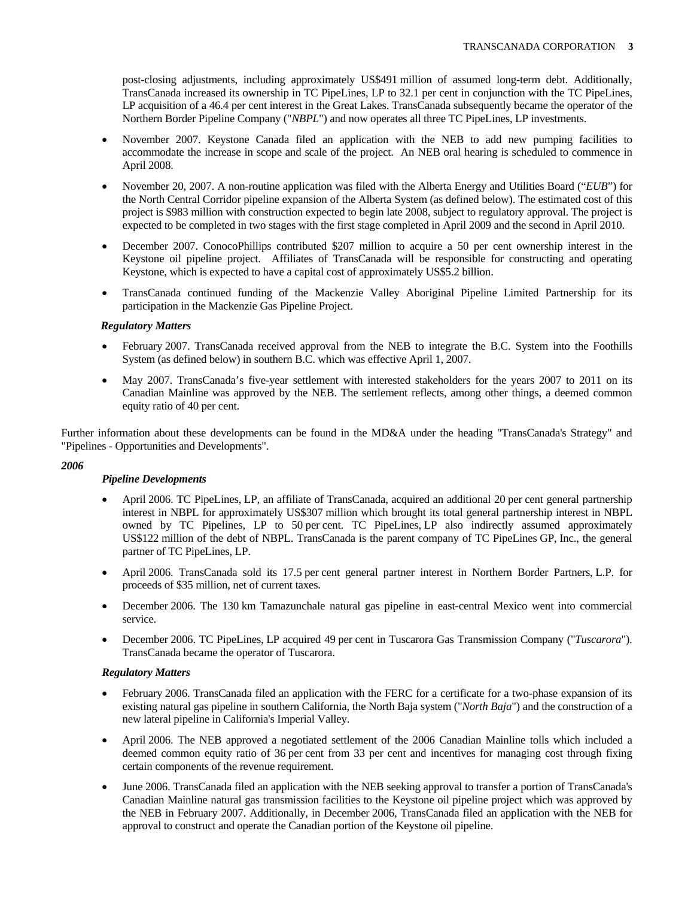post-closing adjustments, including approximately US\$491 million of assumed long-term debt. Additionally, TransCanada increased its ownership in TC PipeLines, LP to 32.1 per cent in conjunction with the TC PipeLines, LP acquisition of a 46.4 per cent interest in the Great Lakes. TransCanada subsequently became the operator of the Northern Border Pipeline Company ("*NBPL*") and now operates all three TC PipeLines, LP investments.

- November 2007. Keystone Canada filed an application with the NEB to add new pumping facilities to accommodate the increase in scope and scale of the project. An NEB oral hearing is scheduled to commence in April 2008.
- November 20, 2007. A non-routine application was filed with the Alberta Energy and Utilities Board ("*EUB*") for the North Central Corridor pipeline expansion of the Alberta System (as defined below). The estimated cost of this project is \$983 million with construction expected to begin late 2008, subject to regulatory approval. The project is expected to be completed in two stages with the first stage completed in April 2009 and the second in April 2010.
- December 2007. ConocoPhillips contributed \$207 million to acquire a 50 per cent ownership interest in the Keystone oil pipeline project. Affiliates of TransCanada will be responsible for constructing and operating Keystone, which is expected to have a capital cost of approximately US\$5.2 billion.
- TransCanada continued funding of the Mackenzie Valley Aboriginal Pipeline Limited Partnership for its participation in the Mackenzie Gas Pipeline Project.

# *Regulatory Matters*

- February 2007. TransCanada received approval from the NEB to integrate the B.C. System into the Foothills System (as defined below) in southern B.C. which was effective April 1, 2007.
- May 2007. TransCanada's five-year settlement with interested stakeholders for the years 2007 to 2011 on its Canadian Mainline was approved by the NEB. The settlement reflects, among other things, a deemed common equity ratio of 40 per cent.

Further information about these developments can be found in the MD&A under the heading "TransCanada's Strategy" and "Pipelines - Opportunities and Developments".

# *2006*

# *Pipeline Developments*

- April 2006. TC PipeLines, LP, an affiliate of TransCanada, acquired an additional 20 per cent general partnership interest in NBPL for approximately US\$307 million which brought its total general partnership interest in NBPL owned by TC Pipelines, LP to 50 per cent. TC PipeLines, LP also indirectly assumed approximately US\$122 million of the debt of NBPL. TransCanada is the parent company of TC PipeLines GP, Inc., the general partner of TC PipeLines, LP.
- April 2006. TransCanada sold its 17.5 per cent general partner interest in Northern Border Partners, L.P. for proceeds of \$35 million, net of current taxes.
- December 2006. The 130 km Tamazunchale natural gas pipeline in east-central Mexico went into commercial service.
- December 2006. TC PipeLines, LP acquired 49 per cent in Tuscarora Gas Transmission Company ("*Tuscarora*"). TransCanada became the operator of Tuscarora.

# *Regulatory Matters*

- February 2006. TransCanada filed an application with the FERC for a certificate for a two-phase expansion of its existing natural gas pipeline in southern California, the North Baja system ("*North Baja*") and the construction of a new lateral pipeline in California's Imperial Valley.
- April 2006. The NEB approved a negotiated settlement of the 2006 Canadian Mainline tolls which included a deemed common equity ratio of 36 per cent from 33 per cent and incentives for managing cost through fixing certain components of the revenue requirement.
- June 2006. TransCanada filed an application with the NEB seeking approval to transfer a portion of TransCanada's Canadian Mainline natural gas transmission facilities to the Keystone oil pipeline project which was approved by the NEB in February 2007. Additionally, in December 2006, TransCanada filed an application with the NEB for approval to construct and operate the Canadian portion of the Keystone oil pipeline.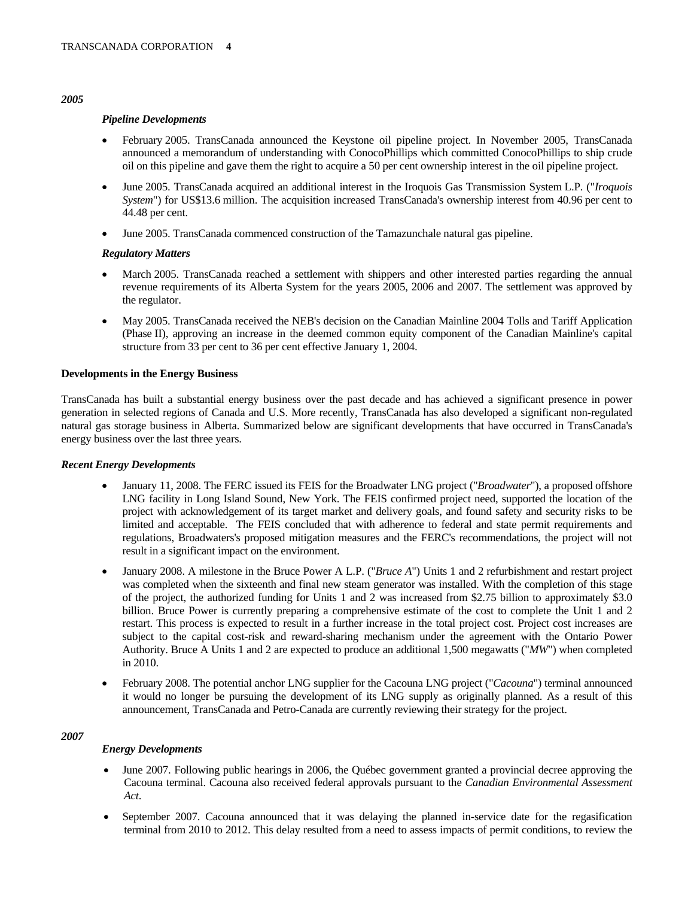# *2005*

# *Pipeline Developments*

- February 2005. TransCanada announced the Keystone oil pipeline project. In November 2005, TransCanada announced a memorandum of understanding with ConocoPhillips which committed ConocoPhillips to ship crude oil on this pipeline and gave them the right to acquire a 50 per cent ownership interest in the oil pipeline project.
- June 2005. TransCanada acquired an additional interest in the Iroquois Gas Transmission System L.P. ("*Iroquois System*") for US\$13.6 million. The acquisition increased TransCanada's ownership interest from 40.96 per cent to 44.48 per cent.
- June 2005. TransCanada commenced construction of the Tamazunchale natural gas pipeline.

# *Regulatory Matters*

- March 2005. TransCanada reached a settlement with shippers and other interested parties regarding the annual revenue requirements of its Alberta System for the years 2005, 2006 and 2007. The settlement was approved by the regulator.
- May 2005. TransCanada received the NEB's decision on the Canadian Mainline 2004 Tolls and Tariff Application (Phase II), approving an increase in the deemed common equity component of the Canadian Mainline's capital structure from 33 per cent to 36 per cent effective January 1, 2004.

# **Developments in the Energy Business**

TransCanada has built a substantial energy business over the past decade and has achieved a significant presence in power generation in selected regions of Canada and U.S. More recently, TransCanada has also developed a significant non-regulated natural gas storage business in Alberta. Summarized below are significant developments that have occurred in TransCanada's energy business over the last three years.

# *Recent Energy Developments*

- January 11, 2008. The FERC issued its FEIS for the Broadwater LNG project ("*Broadwater*"), a proposed offshore LNG facility in Long Island Sound, New York. The FEIS confirmed project need, supported the location of the project with acknowledgement of its target market and delivery goals, and found safety and security risks to be limited and acceptable. The FEIS concluded that with adherence to federal and state permit requirements and regulations, Broadwaters's proposed mitigation measures and the FERC's recommendations, the project will not result in a significant impact on the environment.
- January 2008. A milestone in the Bruce Power A L.P. ("*Bruce A*") Units 1 and 2 refurbishment and restart project was completed when the sixteenth and final new steam generator was installed. With the completion of this stage of the project, the authorized funding for Units 1 and 2 was increased from \$2.75 billion to approximately \$3.0 billion. Bruce Power is currently preparing a comprehensive estimate of the cost to complete the Unit 1 and 2 restart. This process is expected to result in a further increase in the total project cost. Project cost increases are subject to the capital cost-risk and reward-sharing mechanism under the agreement with the Ontario Power Authority. Bruce A Units 1 and 2 are expected to produce an additional 1,500 megawatts ("*MW*") when completed in 2010.
- February 2008. The potential anchor LNG supplier for the Cacouna LNG project ("*Cacouna*") terminal announced it would no longer be pursuing the development of its LNG supply as originally planned. As a result of this announcement, TransCanada and Petro-Canada are currently reviewing their strategy for the project.

# *2007*

# *Energy Developments*

- June 2007. Following public hearings in 2006, the Québec government granted a provincial decree approving the Cacouna terminal. Cacouna also received federal approvals pursuant to the *Canadian Environmental Assessment Act*.
- September 2007. Cacouna announced that it was delaying the planned in-service date for the regasification terminal from 2010 to 2012. This delay resulted from a need to assess impacts of permit conditions, to review the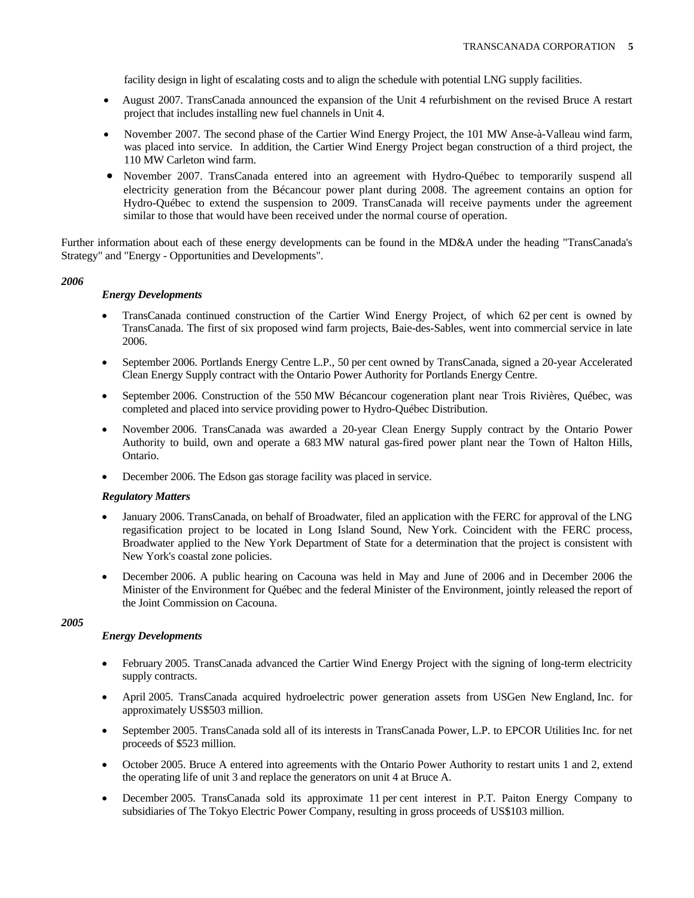facility design in light of escalating costs and to align the schedule with potential LNG supply facilities.

- August 2007. TransCanada announced the expansion of the Unit 4 refurbishment on the revised Bruce A restart project that includes installing new fuel channels in Unit 4.
- November 2007. The second phase of the Cartier Wind Energy Project, the 101 MW Anse-à-Valleau wind farm, was placed into service. In addition, the Cartier Wind Energy Project began construction of a third project, the 110 MW Carleton wind farm.
- November 2007. TransCanada entered into an agreement with Hydro-Québec to temporarily suspend all electricity generation from the Bécancour power plant during 2008. The agreement contains an option for Hydro-Québec to extend the suspension to 2009. TransCanada will receive payments under the agreement similar to those that would have been received under the normal course of operation.

Further information about each of these energy developments can be found in the MD&A under the heading "TransCanada's Strategy" and "Energy - Opportunities and Developments".

# *2006*

# *Energy Developments*

- TransCanada continued construction of the Cartier Wind Energy Project, of which 62 per cent is owned by TransCanada. The first of six proposed wind farm projects, Baie-des-Sables, went into commercial service in late 2006.
- September 2006. Portlands Energy Centre L.P., 50 per cent owned by TransCanada, signed a 20-year Accelerated Clean Energy Supply contract with the Ontario Power Authority for Portlands Energy Centre.
- September 2006. Construction of the 550 MW Bécancour cogeneration plant near Trois Rivières, Québec, was completed and placed into service providing power to Hydro-Québec Distribution.
- November 2006. TransCanada was awarded a 20-year Clean Energy Supply contract by the Ontario Power Authority to build, own and operate a 683 MW natural gas-fired power plant near the Town of Halton Hills, Ontario.
- December 2006. The Edson gas storage facility was placed in service.

# *Regulatory Matters*

- January 2006. TransCanada, on behalf of Broadwater, filed an application with the FERC for approval of the LNG regasification project to be located in Long Island Sound, New York. Coincident with the FERC process, Broadwater applied to the New York Department of State for a determination that the project is consistent with New York's coastal zone policies.
- December 2006. A public hearing on Cacouna was held in May and June of 2006 and in December 2006 the Minister of the Environment for Québec and the federal Minister of the Environment, jointly released the report of the Joint Commission on Cacouna.

# *2005*

# *Energy Developments*

- February 2005. TransCanada advanced the Cartier Wind Energy Project with the signing of long-term electricity supply contracts.
- April 2005. TransCanada acquired hydroelectric power generation assets from USGen New England, Inc. for approximately US\$503 million.
- September 2005. TransCanada sold all of its interests in TransCanada Power, L.P. to EPCOR Utilities Inc. for net proceeds of \$523 million.
- October 2005. Bruce A entered into agreements with the Ontario Power Authority to restart units 1 and 2, extend the operating life of unit 3 and replace the generators on unit 4 at Bruce A.
- December 2005. TransCanada sold its approximate 11 per cent interest in P.T. Paiton Energy Company to subsidiaries of The Tokyo Electric Power Company, resulting in gross proceeds of US\$103 million.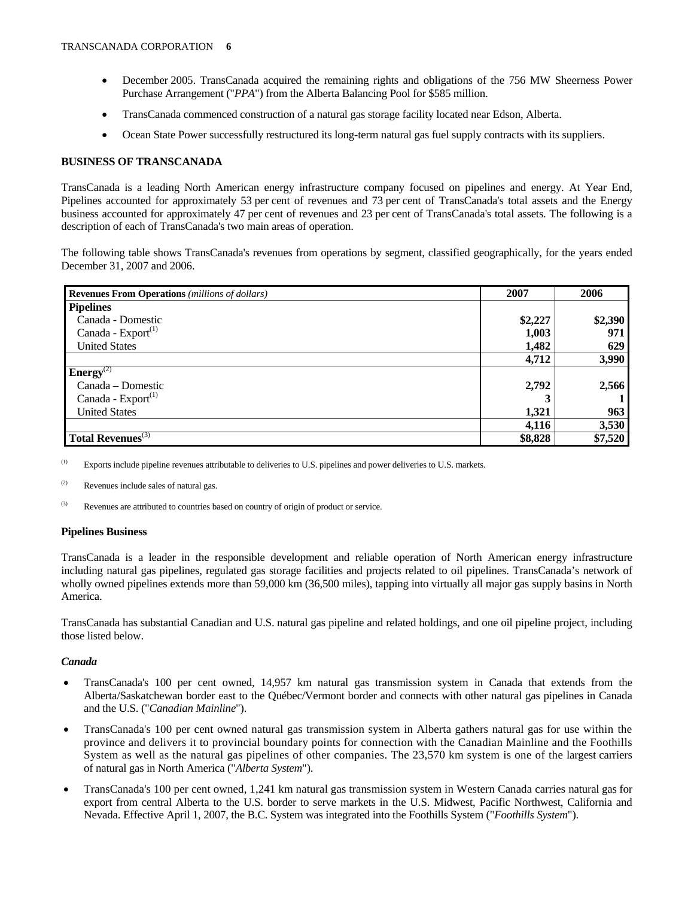- December 2005. TransCanada acquired the remaining rights and obligations of the 756 MW Sheerness Power Purchase Arrangement ("*PPA*") from the Alberta Balancing Pool for \$585 million.
- TransCanada commenced construction of a natural gas storage facility located near Edson, Alberta.
- Ocean State Power successfully restructured its long-term natural gas fuel supply contracts with its suppliers.

# **BUSINESS OF TRANSCANADA**

TransCanada is a leading North American energy infrastructure company focused on pipelines and energy. At Year End, Pipelines accounted for approximately 53 per cent of revenues and 73 per cent of TransCanada's total assets and the Energy business accounted for approximately 47 per cent of revenues and 23 per cent of TransCanada's total assets. The following is a description of each of TransCanada's two main areas of operation.

The following table shows TransCanada's revenues from operations by segment, classified geographically, for the years ended December 31, 2007 and 2006.

| <b>Revenues From Operations</b> (millions of dollars) | 2007    | 2006    |
|-------------------------------------------------------|---------|---------|
| <b>Pipelines</b>                                      |         |         |
| Canada - Domestic                                     | \$2,227 | \$2,390 |
| Canada - $Export^{(1)}$                               | 1,003   | 971     |
| <b>United States</b>                                  | 1,482   | 629     |
|                                                       | 4,712   | 3,990   |
| <b>Energy</b> <sup>(2)</sup>                          |         |         |
| Canada – Domestic                                     | 2,792   | 2,566   |
| Canada - $Export^{(1)}$                               |         |         |
| <b>United States</b>                                  | 1,321   | 963     |
|                                                       | 4,116   | 3,530   |
| Total Revenues <sup>(3)</sup>                         | \$8,828 | \$7,520 |

(1) Exports include pipeline revenues attributable to deliveries to U.S. pipelines and power deliveries to U.S. markets.

(2) Revenues include sales of natural gas.

(3) Revenues are attributed to countries based on country of origin of product or service.

# **Pipelines Business**

TransCanada is a leader in the responsible development and reliable operation of North American energy infrastructure including natural gas pipelines, regulated gas storage facilities and projects related to oil pipelines. TransCanada's network of wholly owned pipelines extends more than 59,000 km (36,500 miles), tapping into virtually all major gas supply basins in North America.

TransCanada has substantial Canadian and U.S. natural gas pipeline and related holdings, and one oil pipeline project, including those listed below.

# *Canada*

- TransCanada's 100 per cent owned, 14,957 km natural gas transmission system in Canada that extends from the Alberta/Saskatchewan border east to the Québec/Vermont border and connects with other natural gas pipelines in Canada and the U.S. ("*Canadian Mainline*").
- TransCanada's 100 per cent owned natural gas transmission system in Alberta gathers natural gas for use within the province and delivers it to provincial boundary points for connection with the Canadian Mainline and the Foothills System as well as the natural gas pipelines of other companies. The 23,570 km system is one of the largest carriers of natural gas in North America ("*Alberta System*").
- TransCanada's 100 per cent owned, 1,241 km natural gas transmission system in Western Canada carries natural gas for export from central Alberta to the U.S. border to serve markets in the U.S. Midwest, Pacific Northwest, California and Nevada. Effective April 1, 2007, the B.C. System was integrated into the Foothills System ("*Foothills System*").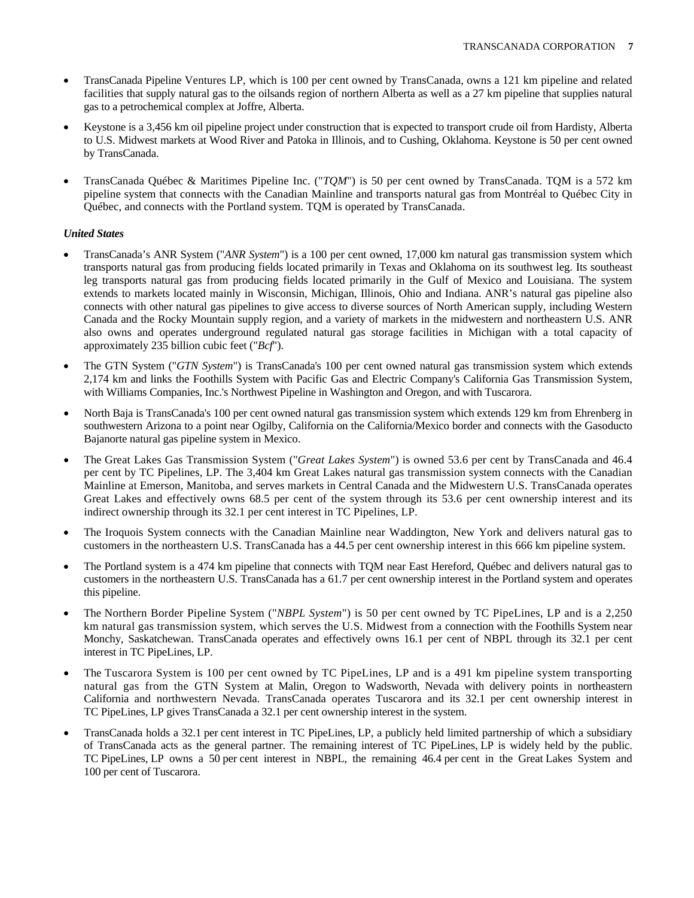- TransCanada Pipeline Ventures LP, which is 100 per cent owned by TransCanada, owns a 121 km pipeline and related facilities that supply natural gas to the oilsands region of northern Alberta as well as a 27 km pipeline that supplies natural gas to a petrochemical complex at Joffre, Alberta.
- Keystone is a 3,456 km oil pipeline project under construction that is expected to transport crude oil from Hardisty, Alberta to U.S. Midwest markets at Wood River and Patoka in Illinois, and to Cushing, Oklahoma. Keystone is 50 per cent owned by TransCanada.
- TransCanada Québec & Maritimes Pipeline Inc. ("*TQM*") is 50 per cent owned by TransCanada. TQM is a 572 km pipeline system that connects with the Canadian Mainline and transports natural gas from Montréal to Québec City in Québec, and connects with the Portland system. TQM is operated by TransCanada.

# *United States*

- TransCanada's ANR System ("*ANR System*") is a 100 per cent owned, 17,000 km natural gas transmission system which transports natural gas from producing fields located primarily in Texas and Oklahoma on its southwest leg. Its southeast leg transports natural gas from producing fields located primarily in the Gulf of Mexico and Louisiana. The system extends to markets located mainly in Wisconsin, Michigan, Illinois, Ohio and Indiana. ANR's natural gas pipeline also connects with other natural gas pipelines to give access to diverse sources of North American supply, including Western Canada and the Rocky Mountain supply region, and a variety of markets in the midwestern and northeastern U.S. ANR also owns and operates underground regulated natural gas storage facilities in Michigan with a total capacity of approximately 235 billion cubic feet ("*Bcf*").
- The GTN System ("*GTN System*") is TransCanada's 100 per cent owned natural gas transmission system which extends 2,174 km and links the Foothills System with Pacific Gas and Electric Company's California Gas Transmission System, with Williams Companies, Inc.'s Northwest Pipeline in Washington and Oregon, and with Tuscarora.
- North Baja is TransCanada's 100 per cent owned natural gas transmission system which extends 129 km from Ehrenberg in southwestern Arizona to a point near Ogilby, California on the California/Mexico border and connects with the Gasoducto Bajanorte natural gas pipeline system in Mexico.
- The Great Lakes Gas Transmission System ("*Great Lakes System*") is owned 53.6 per cent by TransCanada and 46.4 per cent by TC Pipelines, LP. The 3,404 km Great Lakes natural gas transmission system connects with the Canadian Mainline at Emerson, Manitoba, and serves markets in Central Canada and the Midwestern U.S. TransCanada operates Great Lakes and effectively owns 68.5 per cent of the system through its 53.6 per cent ownership interest and its indirect ownership through its 32.1 per cent interest in TC Pipelines, LP.
- The Iroquois System connects with the Canadian Mainline near Waddington, New York and delivers natural gas to customers in the northeastern U.S. TransCanada has a 44.5 per cent ownership interest in this 666 km pipeline system.
- The Portland system is a 474 km pipeline that connects with TQM near East Hereford, Québec and delivers natural gas to customers in the northeastern U.S. TransCanada has a 61.7 per cent ownership interest in the Portland system and operates this pipeline.
- The Northern Border Pipeline System ("*NBPL System*") is 50 per cent owned by TC PipeLines, LP and is a 2,250 km natural gas transmission system, which serves the U.S. Midwest from a connection with the Foothills System near Monchy, Saskatchewan. TransCanada operates and effectively owns 16.1 per cent of NBPL through its 32.1 per cent interest in TC PipeLines, LP.
- The Tuscarora System is 100 per cent owned by TC PipeLines, LP and is a 491 km pipeline system transporting natural gas from the GTN System at Malin, Oregon to Wadsworth, Nevada with delivery points in northeastern California and northwestern Nevada. TransCanada operates Tuscarora and its 32.1 per cent ownership interest in TC PipeLines, LP gives TransCanada a 32.1 per cent ownership interest in the system.
- TransCanada holds a 32.1 per cent interest in TC PipeLines, LP, a publicly held limited partnership of which a subsidiary of TransCanada acts as the general partner. The remaining interest of TC PipeLines, LP is widely held by the public. TC PipeLines, LP owns a 50 per cent interest in NBPL, the remaining 46.4 per cent in the Great Lakes System and 100 per cent of Tuscarora.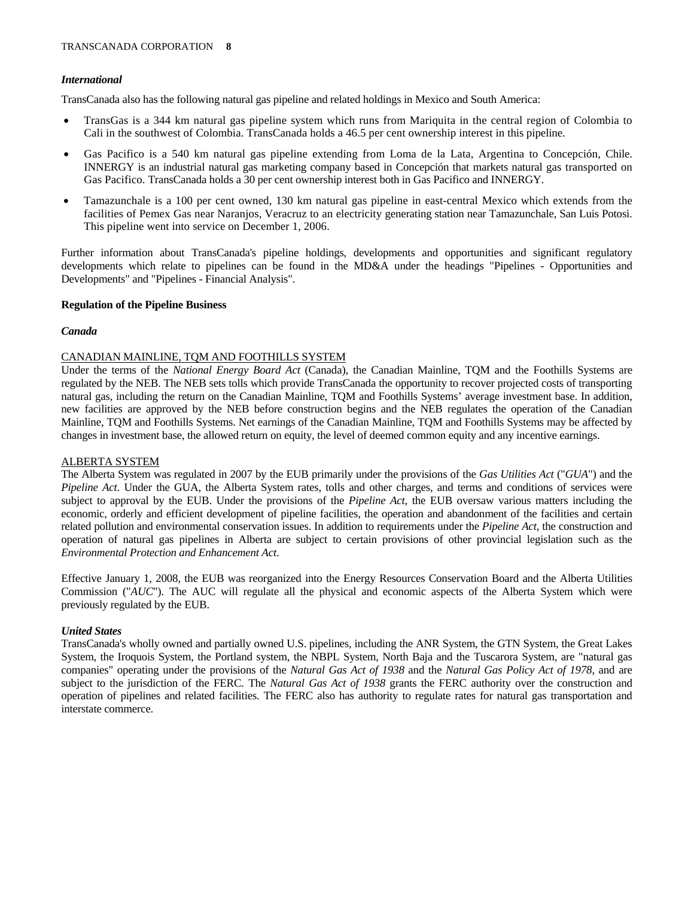# *International*

TransCanada also has the following natural gas pipeline and related holdings in Mexico and South America:

- TransGas is a 344 km natural gas pipeline system which runs from Mariquita in the central region of Colombia to Cali in the southwest of Colombia. TransCanada holds a 46.5 per cent ownership interest in this pipeline.
- Gas Pacifico is a 540 km natural gas pipeline extending from Loma de la Lata, Argentina to Concepción, Chile. INNERGY is an industrial natural gas marketing company based in Concepción that markets natural gas transported on Gas Pacifico. TransCanada holds a 30 per cent ownership interest both in Gas Pacifico and INNERGY.
- Tamazunchale is a 100 per cent owned, 130 km natural gas pipeline in east-central Mexico which extends from the facilities of Pemex Gas near Naranjos, Veracruz to an electricity generating station near Tamazunchale, San Luis Potosi. This pipeline went into service on December 1, 2006.

Further information about TransCanada's pipeline holdings, developments and opportunities and significant regulatory developments which relate to pipelines can be found in the MD&A under the headings "Pipelines - Opportunities and Developments" and "Pipelines - Financial Analysis".

# **Regulation of the Pipeline Business**

# *Canada*

# CANADIAN MAINLINE, TQM AND FOOTHILLS SYSTEM

Under the terms of the *National Energy Board Act* (Canada), the Canadian Mainline, TQM and the Foothills Systems are regulated by the NEB. The NEB sets tolls which provide TransCanada the opportunity to recover projected costs of transporting natural gas, including the return on the Canadian Mainline, TQM and Foothills Systems' average investment base. In addition, new facilities are approved by the NEB before construction begins and the NEB regulates the operation of the Canadian Mainline, TQM and Foothills Systems. Net earnings of the Canadian Mainline, TQM and Foothills Systems may be affected by changes in investment base, the allowed return on equity, the level of deemed common equity and any incentive earnings.

# ALBERTA SYSTEM

The Alberta System was regulated in 2007 by the EUB primarily under the provisions of the *Gas Utilities Act* ("*GUA*") and the *Pipeline Act*. Under the GUA, the Alberta System rates, tolls and other charges, and terms and conditions of services were subject to approval by the EUB. Under the provisions of the *Pipeline Act*, the EUB oversaw various matters including the economic, orderly and efficient development of pipeline facilities, the operation and abandonment of the facilities and certain related pollution and environmental conservation issues. In addition to requirements under the *Pipeline Act*, the construction and operation of natural gas pipelines in Alberta are subject to certain provisions of other provincial legislation such as the *Environmental Protection and Enhancement Act*.

Effective January 1, 2008, the EUB was reorganized into the Energy Resources Conservation Board and the Alberta Utilities Commission ("*AUC*"). The AUC will regulate all the physical and economic aspects of the Alberta System which were previously regulated by the EUB.

# *United States*

TransCanada's wholly owned and partially owned U.S. pipelines, including the ANR System, the GTN System, the Great Lakes System, the Iroquois System, the Portland system, the NBPL System, North Baja and the Tuscarora System, are "natural gas companies" operating under the provisions of the *Natural Gas Act of 1938* and the *Natural Gas Policy Act of 1978*, and are subject to the jurisdiction of the FERC. The *Natural Gas Act of 1938* grants the FERC authority over the construction and operation of pipelines and related facilities. The FERC also has authority to regulate rates for natural gas transportation and interstate commerce.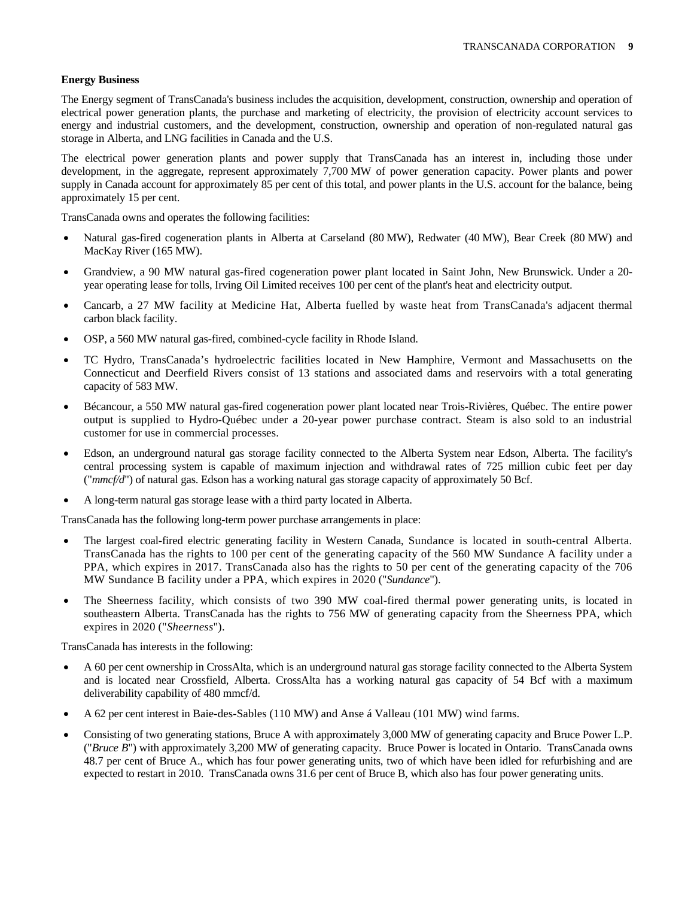# **Energy Business**

The Energy segment of TransCanada's business includes the acquisition, development, construction, ownership and operation of electrical power generation plants, the purchase and marketing of electricity, the provision of electricity account services to energy and industrial customers, and the development, construction, ownership and operation of non-regulated natural gas storage in Alberta, and LNG facilities in Canada and the U.S.

The electrical power generation plants and power supply that TransCanada has an interest in, including those under development, in the aggregate, represent approximately 7,700 MW of power generation capacity. Power plants and power supply in Canada account for approximately 85 per cent of this total, and power plants in the U.S. account for the balance, being approximately 15 per cent.

TransCanada owns and operates the following facilities:

- Natural gas-fired cogeneration plants in Alberta at Carseland (80 MW), Redwater (40 MW), Bear Creek (80 MW) and MacKay River (165 MW).
- Grandview, a 90 MW natural gas-fired cogeneration power plant located in Saint John, New Brunswick. Under a 20 year operating lease for tolls, Irving Oil Limited receives 100 per cent of the plant's heat and electricity output.
- Cancarb, a 27 MW facility at Medicine Hat, Alberta fuelled by waste heat from TransCanada's adjacent thermal carbon black facility.
- OSP, a 560 MW natural gas-fired, combined-cycle facility in Rhode Island.
- TC Hydro, TransCanada's hydroelectric facilities located in New Hamphire, Vermont and Massachusetts on the Connecticut and Deerfield Rivers consist of 13 stations and associated dams and reservoirs with a total generating capacity of 583 MW.
- Bécancour, a 550 MW natural gas-fired cogeneration power plant located near Trois-Rivières, Québec. The entire power output is supplied to Hydro-Québec under a 20-year power purchase contract. Steam is also sold to an industrial customer for use in commercial processes.
- Edson, an underground natural gas storage facility connected to the Alberta System near Edson, Alberta. The facility's central processing system is capable of maximum injection and withdrawal rates of 725 million cubic feet per day ("*mmcf/d*") of natural gas. Edson has a working natural gas storage capacity of approximately 50 Bcf.
- A long-term natural gas storage lease with a third party located in Alberta.

TransCanada has the following long-term power purchase arrangements in place:

- The largest coal-fired electric generating facility in Western Canada, Sundance is located in south-central Alberta. TransCanada has the rights to 100 per cent of the generating capacity of the 560 MW Sundance A facility under a PPA, which expires in 2017. TransCanada also has the rights to 50 per cent of the generating capacity of the 706 MW Sundance B facility under a PPA, which expires in 2020 ("*Sundance*").
- The Sheerness facility, which consists of two 390 MW coal-fired thermal power generating units, is located in southeastern Alberta. TransCanada has the rights to 756 MW of generating capacity from the Sheerness PPA, which expires in 2020 ("*Sheerness*").

TransCanada has interests in the following:

- A 60 per cent ownership in CrossAlta, which is an underground natural gas storage facility connected to the Alberta System and is located near Crossfield, Alberta. CrossAlta has a working natural gas capacity of 54 Bcf with a maximum deliverability capability of 480 mmcf/d.
- A 62 per cent interest in Baie-des-Sables (110 MW) and Anse á Valleau (101 MW) wind farms.
- Consisting of two generating stations, Bruce A with approximately 3,000 MW of generating capacity and Bruce Power L.P. ("*Bruce B*") with approximately 3,200 MW of generating capacity. Bruce Power is located in Ontario. TransCanada owns 48.7 per cent of Bruce A., which has four power generating units, two of which have been idled for refurbishing and are expected to restart in 2010. TransCanada owns 31.6 per cent of Bruce B, which also has four power generating units.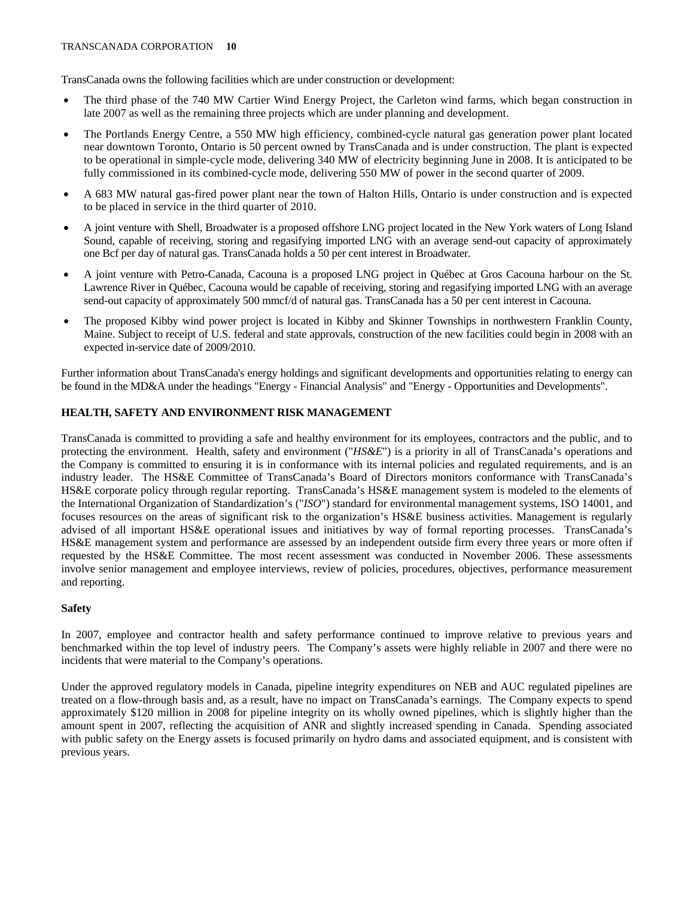TransCanada owns the following facilities which are under construction or development:

- The third phase of the 740 MW Cartier Wind Energy Project, the Carleton wind farms, which began construction in late 2007 as well as the remaining three projects which are under planning and development.
- The Portlands Energy Centre, a 550 MW high efficiency, combined-cycle natural gas generation power plant located near downtown Toronto, Ontario is 50 percent owned by TransCanada and is under construction. The plant is expected to be operational in simple-cycle mode, delivering 340 MW of electricity beginning June in 2008. It is anticipated to be fully commissioned in its combined-cycle mode, delivering 550 MW of power in the second quarter of 2009.
- A 683 MW natural gas-fired power plant near the town of Halton Hills, Ontario is under construction and is expected to be placed in service in the third quarter of 2010.
- A joint venture with Shell, Broadwater is a proposed offshore LNG project located in the New York waters of Long Island Sound, capable of receiving, storing and regasifying imported LNG with an average send-out capacity of approximately one Bcf per day of natural gas. TransCanada holds a 50 per cent interest in Broadwater.
- A joint venture with Petro-Canada, Cacouna is a proposed LNG project in Québec at Gros Cacouna harbour on the St. Lawrence River in Québec, Cacouna would be capable of receiving, storing and regasifying imported LNG with an average send-out capacity of approximately 500 mmcf/d of natural gas. TransCanada has a 50 per cent interest in Cacouna.
- The proposed Kibby wind power project is located in Kibby and Skinner Townships in northwestern Franklin County, Maine. Subject to receipt of U.S. federal and state approvals, construction of the new facilities could begin in 2008 with an expected in-service date of 2009/2010.

Further information about TransCanada's energy holdings and significant developments and opportunities relating to energy can be found in the MD&A under the headings "Energy - Financial Analysis" and "Energy - Opportunities and Developments".

# **HEALTH, SAFETY AND ENVIRONMENT RISK MANAGEMENT**

TransCanada is committed to providing a safe and healthy environment for its employees, contractors and the public, and to protecting the environment. Health, safety and environment ("*HS&E*") is a priority in all of TransCanada's operations and the Company is committed to ensuring it is in conformance with its internal policies and regulated requirements, and is an industry leader. The HS&E Committee of TransCanada's Board of Directors monitors conformance with TransCanada's HS&E corporate policy through regular reporting. TransCanada's HS&E management system is modeled to the elements of the International Organization of Standardization's ("*ISO*") standard for environmental management systems, ISO 14001, and focuses resources on the areas of significant risk to the organization's HS&E business activities. Management is regularly advised of all important HS&E operational issues and initiatives by way of formal reporting processes. TransCanada's HS&E management system and performance are assessed by an independent outside firm every three years or more often if requested by the HS&E Committee. The most recent assessment was conducted in November 2006. These assessments involve senior management and employee interviews, review of policies, procedures, objectives, performance measurement and reporting.

# **Safety**

In 2007, employee and contractor health and safety performance continued to improve relative to previous years and benchmarked within the top level of industry peers. The Company's assets were highly reliable in 2007 and there were no incidents that were material to the Company's operations.

Under the approved regulatory models in Canada, pipeline integrity expenditures on NEB and AUC regulated pipelines are treated on a flow-through basis and, as a result, have no impact on TransCanada's earnings. The Company expects to spend approximately \$120 million in 2008 for pipeline integrity on its wholly owned pipelines, which is slightly higher than the amount spent in 2007, reflecting the acquisition of ANR and slightly increased spending in Canada. Spending associated with public safety on the Energy assets is focused primarily on hydro dams and associated equipment, and is consistent with previous years.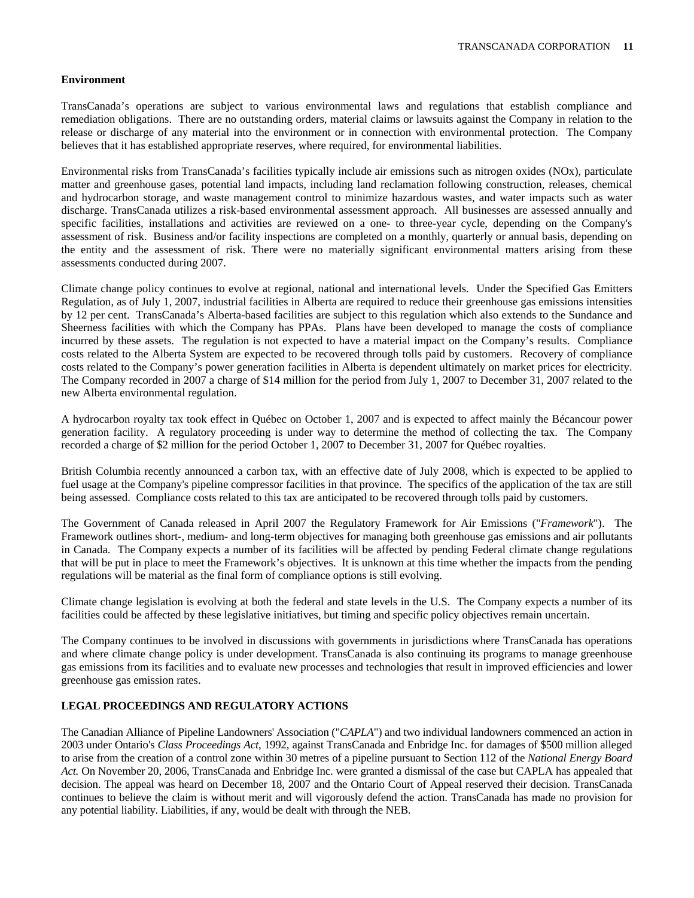# **Environment**

TransCanada's operations are subject to various environmental laws and regulations that establish compliance and remediation obligations. There are no outstanding orders, material claims or lawsuits against the Company in relation to the release or discharge of any material into the environment or in connection with environmental protection. The Company believes that it has established appropriate reserves, where required, for environmental liabilities.

Environmental risks from TransCanada's facilities typically include air emissions such as nitrogen oxides (NOx), particulate matter and greenhouse gases, potential land impacts, including land reclamation following construction, releases, chemical and hydrocarbon storage, and waste management control to minimize hazardous wastes, and water impacts such as water discharge. TransCanada utilizes a risk-based environmental assessment approach. All businesses are assessed annually and specific facilities, installations and activities are reviewed on a one- to three-year cycle, depending on the Company's assessment of risk. Business and/or facility inspections are completed on a monthly, quarterly or annual basis, depending on the entity and the assessment of risk. There were no materially significant environmental matters arising from these assessments conducted during 2007.

Climate change policy continues to evolve at regional, national and international levels. Under the Specified Gas Emitters Regulation, as of July 1, 2007, industrial facilities in Alberta are required to reduce their greenhouse gas emissions intensities by 12 per cent. TransCanada's Alberta-based facilities are subject to this regulation which also extends to the Sundance and Sheerness facilities with which the Company has PPAs. Plans have been developed to manage the costs of compliance incurred by these assets. The regulation is not expected to have a material impact on the Company's results. Compliance costs related to the Alberta System are expected to be recovered through tolls paid by customers. Recovery of compliance costs related to the Company's power generation facilities in Alberta is dependent ultimately on market prices for electricity. The Company recorded in 2007 a charge of \$14 million for the period from July 1, 2007 to December 31, 2007 related to the new Alberta environmental regulation.

A hydrocarbon royalty tax took effect in Québec on October 1, 2007 and is expected to affect mainly the Bécancour power generation facility. A regulatory proceeding is under way to determine the method of collecting the tax. The Company recorded a charge of \$2 million for the period October 1, 2007 to December 31, 2007 for Québec royalties.

British Columbia recently announced a carbon tax, with an effective date of July 2008, which is expected to be applied to fuel usage at the Company's pipeline compressor facilities in that province. The specifics of the application of the tax are still being assessed. Compliance costs related to this tax are anticipated to be recovered through tolls paid by customers.

The Government of Canada released in April 2007 the Regulatory Framework for Air Emissions ("*Framework*"). The Framework outlines short-, medium- and long-term objectives for managing both greenhouse gas emissions and air pollutants in Canada. The Company expects a number of its facilities will be affected by pending Federal climate change regulations that will be put in place to meet the Framework's objectives. It is unknown at this time whether the impacts from the pending regulations will be material as the final form of compliance options is still evolving.

Climate change legislation is evolving at both the federal and state levels in the U.S. The Company expects a number of its facilities could be affected by these legislative initiatives, but timing and specific policy objectives remain uncertain.

The Company continues to be involved in discussions with governments in jurisdictions where TransCanada has operations and where climate change policy is under development. TransCanada is also continuing its programs to manage greenhouse gas emissions from its facilities and to evaluate new processes and technologies that result in improved efficiencies and lower greenhouse gas emission rates.

# **LEGAL PROCEEDINGS AND REGULATORY ACTIONS**

The Canadian Alliance of Pipeline Landowners' Association ("*CAPLA*") and two individual landowners commenced an action in 2003 under Ontario's *Class Proceedings Act*, 1992, against TransCanada and Enbridge Inc. for damages of \$500 million alleged to arise from the creation of a control zone within 30 metres of a pipeline pursuant to Section 112 of the *National Energy Board Act.* On November 20, 2006, TransCanada and Enbridge Inc. were granted a dismissal of the case but CAPLA has appealed that decision. The appeal was heard on December 18, 2007 and the Ontario Court of Appeal reserved their decision. TransCanada continues to believe the claim is without merit and will vigorously defend the action. TransCanada has made no provision for any potential liability. Liabilities, if any, would be dealt with through the NEB.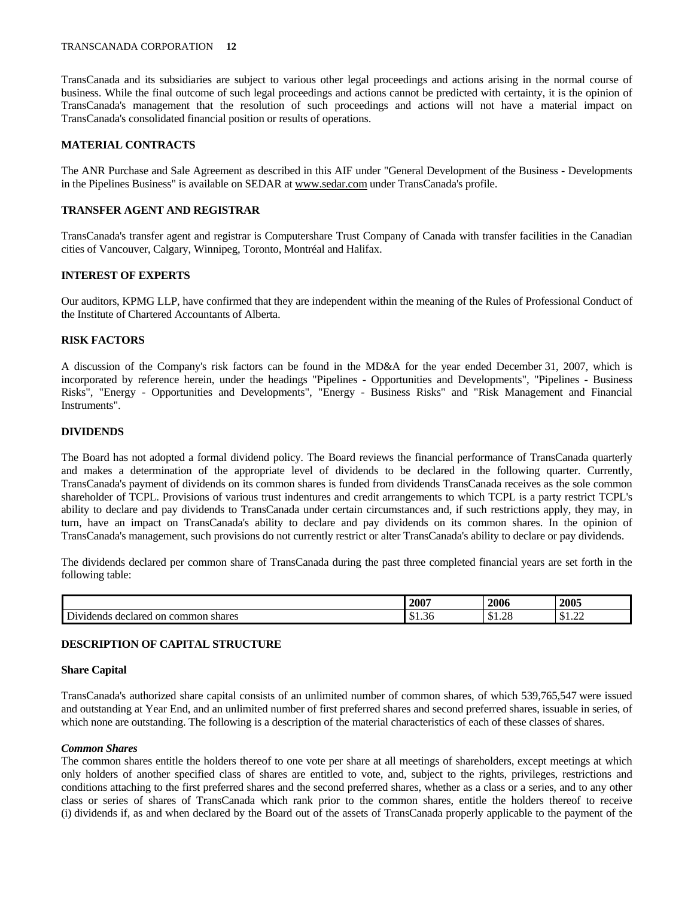#### TRANSCANADA CORPORATION **12**

TransCanada and its subsidiaries are subject to various other legal proceedings and actions arising in the normal course of business. While the final outcome of such legal proceedings and actions cannot be predicted with certainty, it is the opinion of TransCanada's management that the resolution of such proceedings and actions will not have a material impact on TransCanada's consolidated financial position or results of operations.

# **MATERIAL CONTRACTS**

The ANR Purchase and Sale Agreement as described in this AIF under "General Development of the Business - Developments in the Pipelines Business" is available on SEDAR at www.sedar.com under TransCanada's profile.

# **TRANSFER AGENT AND REGISTRAR**

TransCanada's transfer agent and registrar is Computershare Trust Company of Canada with transfer facilities in the Canadian cities of Vancouver, Calgary, Winnipeg, Toronto, Montréal and Halifax.

# **INTEREST OF EXPERTS**

Our auditors, KPMG LLP, have confirmed that they are independent within the meaning of the Rules of Professional Conduct of the Institute of Chartered Accountants of Alberta.

# **RISK FACTORS**

A discussion of the Company's risk factors can be found in the MD&A for the year ended December 31, 2007, which is incorporated by reference herein, under the headings "Pipelines - Opportunities and Developments", "Pipelines - Business Risks", "Energy - Opportunities and Developments", "Energy - Business Risks" and "Risk Management and Financial Instruments".

# **DIVIDENDS**

The Board has not adopted a formal dividend policy. The Board reviews the financial performance of TransCanada quarterly and makes a determination of the appropriate level of dividends to be declared in the following quarter. Currently, TransCanada's payment of dividends on its common shares is funded from dividends TransCanada receives as the sole common shareholder of TCPL. Provisions of various trust indentures and credit arrangements to which TCPL is a party restrict TCPL's ability to declare and pay dividends to TransCanada under certain circumstances and, if such restrictions apply, they may, in turn, have an impact on TransCanada's ability to declare and pay dividends on its common shares. In the opinion of TransCanada's management, such provisions do not currently restrict or alter TransCanada's ability to declare or pay dividends.

The dividends declared per common share of TransCanada during the past three completed financial years are set forth in the following table:

|                                                                          | <b>200<sup>-</sup></b>  | 200c                           | 2005                   |
|--------------------------------------------------------------------------|-------------------------|--------------------------------|------------------------|
| $\mathbf{r}$<br>common<br>declared<br>shares<br>Dividends<br>$_{\rm on}$ | $\sim$<br>– ጥ<br>-91.90 | $\cap$<br>$\triangle$<br>01.2c | $\sim$ $\sim$<br>01.44 |

# **DESCRIPTION OF CAPITAL STRUCTURE**

# **Share Capital**

TransCanada's authorized share capital consists of an unlimited number of common shares, of which 539,765,547 were issued and outstanding at Year End, and an unlimited number of first preferred shares and second preferred shares, issuable in series, of which none are outstanding. The following is a description of the material characteristics of each of these classes of shares.

# *Common Shares*

The common shares entitle the holders thereof to one vote per share at all meetings of shareholders, except meetings at which only holders of another specified class of shares are entitled to vote, and, subject to the rights, privileges, restrictions and conditions attaching to the first preferred shares and the second preferred shares, whether as a class or a series, and to any other class or series of shares of TransCanada which rank prior to the common shares, entitle the holders thereof to receive (i) dividends if, as and when declared by the Board out of the assets of TransCanada properly applicable to the payment of the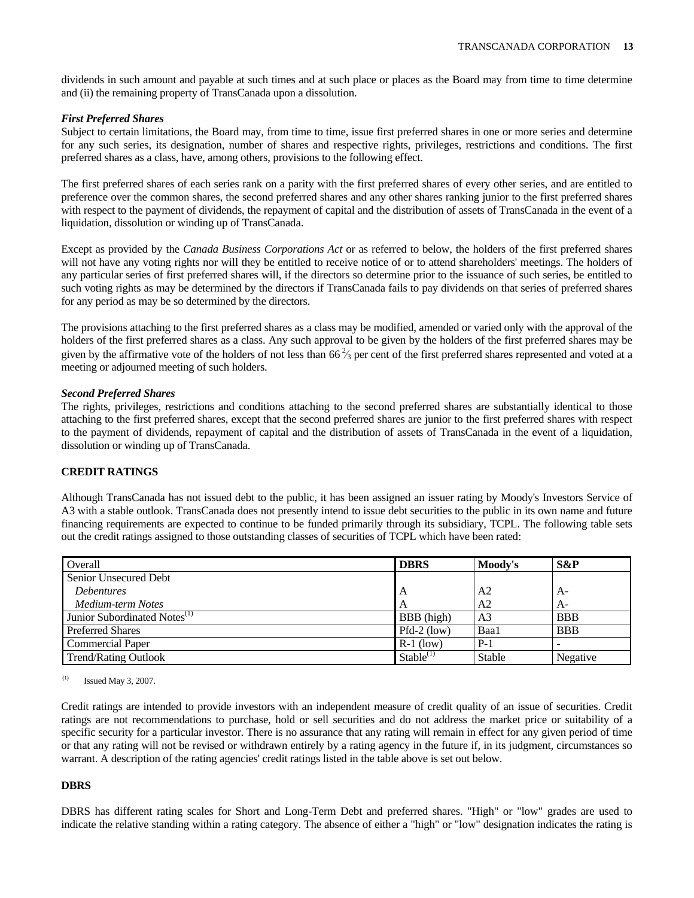dividends in such amount and payable at such times and at such place or places as the Board may from time to time determine and (ii) the remaining property of TransCanada upon a dissolution.

# *First Preferred Shares*

Subject to certain limitations, the Board may, from time to time, issue first preferred shares in one or more series and determine for any such series, its designation, number of shares and respective rights, privileges, restrictions and conditions. The first preferred shares as a class, have, among others, provisions to the following effect.

The first preferred shares of each series rank on a parity with the first preferred shares of every other series, and are entitled to preference over the common shares, the second preferred shares and any other shares ranking junior to the first preferred shares with respect to the payment of dividends, the repayment of capital and the distribution of assets of TransCanada in the event of a liquidation, dissolution or winding up of TransCanada.

Except as provided by the *Canada Business Corporations Act* or as referred to below, the holders of the first preferred shares will not have any voting rights nor will they be entitled to receive notice of or to attend shareholders' meetings. The holders of any particular series of first preferred shares will, if the directors so determine prior to the issuance of such series, be entitled to such voting rights as may be determined by the directors if TransCanada fails to pay dividends on that series of preferred shares for any period as may be so determined by the directors.

The provisions attaching to the first preferred shares as a class may be modified, amended or varied only with the approval of the holders of the first preferred shares as a class. Any such approval to be given by the holders of the first preferred shares may be given by the affirmative vote of the holders of not less than  $66\frac{2}{3}$  per cent of the first preferred shares represented and voted at a meeting or adjourned meeting of such holders.

# *Second Preferred Shares*

The rights, privileges, restrictions and conditions attaching to the second preferred shares are substantially identical to those attaching to the first preferred shares, except that the second preferred shares are junior to the first preferred shares with respect to the payment of dividends, repayment of capital and the distribution of assets of TransCanada in the event of a liquidation, dissolution or winding up of TransCanada.

# **CREDIT RATINGS**

Although TransCanada has not issued debt to the public, it has been assigned an issuer rating by Moody's Investors Service of A3 with a stable outlook. TransCanada does not presently intend to issue debt securities to the public in its own name and future financing requirements are expected to continue to be funded primarily through its subsidiary, TCPL. The following table sets out the credit ratings assigned to those outstanding classes of securities of TCPL which have been rated:

| Overall                                  | <b>DBRS</b>    | Moody's        | S&P        |
|------------------------------------------|----------------|----------------|------------|
| Senior Unsecured Debt                    |                |                |            |
| <b>Debentures</b>                        | A              | A <sub>2</sub> | $A-$       |
| Medium-term Notes                        |                | A <sub>2</sub> | $A-$       |
| Junior Subordinated Notes <sup>(1)</sup> | BBB (high)     | A <sub>3</sub> | <b>BBB</b> |
| <b>Preferred Shares</b>                  | $Pfd-2$ (low)  | Baa1           | <b>BBB</b> |
| <b>Commercial Paper</b>                  | $R-1$ (low)    | $P-1$          |            |
| <b>Trend/Rating Outlook</b>              | $Stable^{(1)}$ | Stable         | Negative   |

 $^{(1)}$  Issued May 3, 2007.

Credit ratings are intended to provide investors with an independent measure of credit quality of an issue of securities. Credit ratings are not recommendations to purchase, hold or sell securities and do not address the market price or suitability of a specific security for a particular investor. There is no assurance that any rating will remain in effect for any given period of time or that any rating will not be revised or withdrawn entirely by a rating agency in the future if, in its judgment, circumstances so warrant. A description of the rating agencies' credit ratings listed in the table above is set out below.

# **DBRS**

DBRS has different rating scales for Short and Long-Term Debt and preferred shares. "High" or "low" grades are used to indicate the relative standing within a rating category. The absence of either a "high" or "low" designation indicates the rating is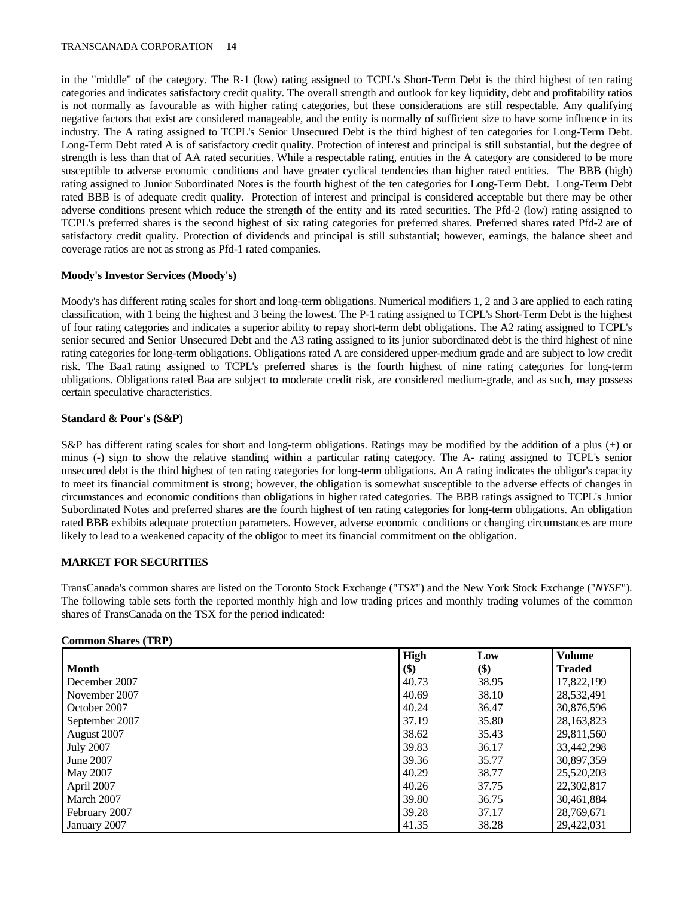#### TRANSCANADA CORPORATION **14**

in the "middle" of the category. The R-1 (low) rating assigned to TCPL's Short-Term Debt is the third highest of ten rating categories and indicates satisfactory credit quality. The overall strength and outlook for key liquidity, debt and profitability ratios is not normally as favourable as with higher rating categories, but these considerations are still respectable. Any qualifying negative factors that exist are considered manageable, and the entity is normally of sufficient size to have some influence in its industry. The A rating assigned to TCPL's Senior Unsecured Debt is the third highest of ten categories for Long-Term Debt. Long-Term Debt rated A is of satisfactory credit quality. Protection of interest and principal is still substantial, but the degree of strength is less than that of AA rated securities. While a respectable rating, entities in the A category are considered to be more susceptible to adverse economic conditions and have greater cyclical tendencies than higher rated entities. The BBB (high) rating assigned to Junior Subordinated Notes is the fourth highest of the ten categories for Long-Term Debt. Long-Term Debt rated BBB is of adequate credit quality. Protection of interest and principal is considered acceptable but there may be other adverse conditions present which reduce the strength of the entity and its rated securities. The Pfd-2 (low) rating assigned to TCPL's preferred shares is the second highest of six rating categories for preferred shares. Preferred shares rated Pfd-2 are of satisfactory credit quality. Protection of dividends and principal is still substantial; however, earnings, the balance sheet and coverage ratios are not as strong as Pfd-1 rated companies.

# **Moody's Investor Services (Moody's)**

Moody's has different rating scales for short and long-term obligations. Numerical modifiers 1, 2 and 3 are applied to each rating classification, with 1 being the highest and 3 being the lowest. The P-1 rating assigned to TCPL's Short-Term Debt is the highest of four rating categories and indicates a superior ability to repay short-term debt obligations. The A2 rating assigned to TCPL's senior secured and Senior Unsecured Debt and the A3 rating assigned to its junior subordinated debt is the third highest of nine rating categories for long-term obligations. Obligations rated A are considered upper-medium grade and are subject to low credit risk. The Baa1 rating assigned to TCPL's preferred shares is the fourth highest of nine rating categories for long-term obligations. Obligations rated Baa are subject to moderate credit risk, are considered medium-grade, and as such, may possess certain speculative characteristics.

# **Standard & Poor's (S&P)**

S&P has different rating scales for short and long-term obligations. Ratings may be modified by the addition of a plus (+) or minus (-) sign to show the relative standing within a particular rating category. The A- rating assigned to TCPL's senior unsecured debt is the third highest of ten rating categories for long-term obligations. An A rating indicates the obligor's capacity to meet its financial commitment is strong; however, the obligation is somewhat susceptible to the adverse effects of changes in circumstances and economic conditions than obligations in higher rated categories. The BBB ratings assigned to TCPL's Junior Subordinated Notes and preferred shares are the fourth highest of ten rating categories for long-term obligations. An obligation rated BBB exhibits adequate protection parameters. However, adverse economic conditions or changing circumstances are more likely to lead to a weakened capacity of the obligor to meet its financial commitment on the obligation.

# **MARKET FOR SECURITIES**

TransCanada's common shares are listed on the Toronto Stock Exchange ("*TSX*") and the New York Stock Exchange ("*NYSE*"). The following table sets forth the reported monthly high and low trading prices and monthly trading volumes of the common shares of TransCanada on the TSX for the period indicated:

# **Common Shares (TRP)**

|                  | High  | Low   | <b>Volume</b> |
|------------------|-------|-------|---------------|
| <b>Month</b>     | \$)   | \$)   | <b>Traded</b> |
| December 2007    | 40.73 | 38.95 | 17,822,199    |
| November 2007    | 40.69 | 38.10 | 28,532,491    |
| October 2007     | 40.24 | 36.47 | 30,876,596    |
| September 2007   | 37.19 | 35.80 | 28, 163, 823  |
| August 2007      | 38.62 | 35.43 | 29,811,560    |
| <b>July 2007</b> | 39.83 | 36.17 | 33,442,298    |
| June 2007        | 39.36 | 35.77 | 30,897,359    |
| May 2007         | 40.29 | 38.77 | 25,520,203    |
| April 2007       | 40.26 | 37.75 | 22,302,817    |
| March 2007       | 39.80 | 36.75 | 30,461,884    |
| February 2007    | 39.28 | 37.17 | 28,769,671    |
| January 2007     | 41.35 | 38.28 | 29,422,031    |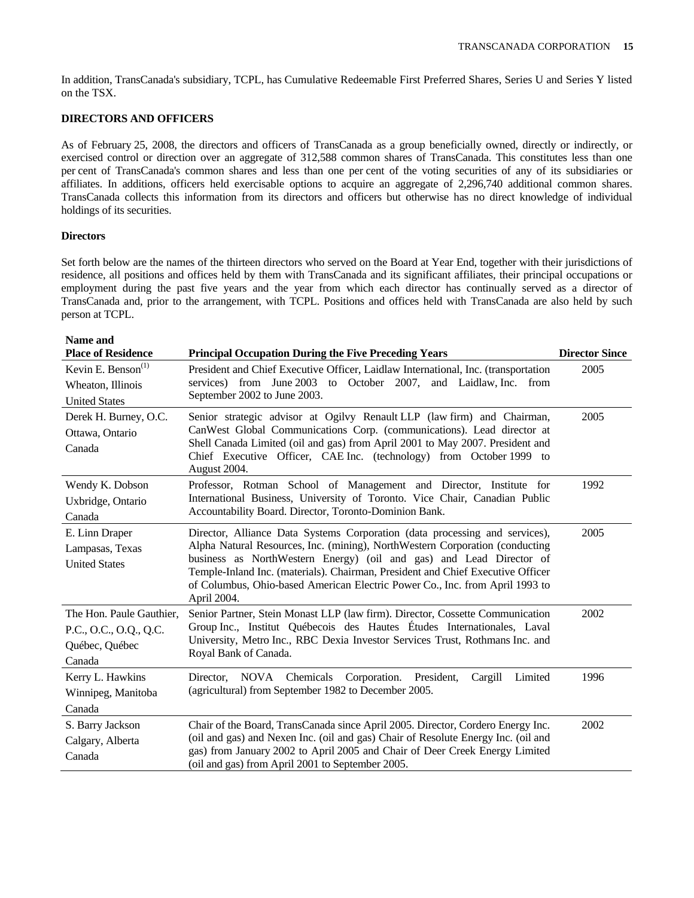In addition, TransCanada's subsidiary, TCPL, has Cumulative Redeemable First Preferred Shares, Series U and Series Y listed on the TSX.

# **DIRECTORS AND OFFICERS**

As of February 25, 2008, the directors and officers of TransCanada as a group beneficially owned, directly or indirectly, or exercised control or direction over an aggregate of 312,588 common shares of TransCanada. This constitutes less than one per cent of TransCanada's common shares and less than one per cent of the voting securities of any of its subsidiaries or affiliates. In additions, officers held exercisable options to acquire an aggregate of 2,296,740 additional common shares. TransCanada collects this information from its directors and officers but otherwise has no direct knowledge of individual holdings of its securities.

# **Directors**

Set forth below are the names of the thirteen directors who served on the Board at Year End, together with their jurisdictions of residence, all positions and offices held by them with TransCanada and its significant affiliates, their principal occupations or employment during the past five years and the year from which each director has continually served as a director of TransCanada and, prior to the arrangement, with TCPL. Positions and offices held with TransCanada are also held by such person at TCPL.

| Name and<br><b>Place of Residence</b>                                          | <b>Principal Occupation During the Five Preceding Years</b>                                                                                                                                                                                                                                                                                                                                                          | <b>Director Since</b> |
|--------------------------------------------------------------------------------|----------------------------------------------------------------------------------------------------------------------------------------------------------------------------------------------------------------------------------------------------------------------------------------------------------------------------------------------------------------------------------------------------------------------|-----------------------|
| Kevin E. Benson <sup>(1)</sup><br>Wheaton, Illinois<br><b>United States</b>    | President and Chief Executive Officer, Laidlaw International, Inc. (transportation<br>from June 2003 to October 2007, and Laidlaw, Inc. from<br>services)<br>September 2002 to June 2003.                                                                                                                                                                                                                            | 2005                  |
| Derek H. Burney, O.C.<br>Ottawa, Ontario<br>Canada                             | Senior strategic advisor at Ogilvy Renault LLP (law firm) and Chairman,<br>CanWest Global Communications Corp. (communications). Lead director at<br>Shell Canada Limited (oil and gas) from April 2001 to May 2007. President and<br>Chief Executive Officer, CAE Inc. (technology) from October 1999 to<br>August 2004.                                                                                            | 2005                  |
| Wendy K. Dobson<br>Uxbridge, Ontario<br>Canada                                 | Professor, Rotman School of Management and Director, Institute for<br>International Business, University of Toronto. Vice Chair, Canadian Public<br>Accountability Board. Director, Toronto-Dominion Bank.                                                                                                                                                                                                           | 1992                  |
| E. Linn Draper<br>Lampasas, Texas<br><b>United States</b>                      | Director, Alliance Data Systems Corporation (data processing and services),<br>Alpha Natural Resources, Inc. (mining), NorthWestern Corporation (conducting<br>business as NorthWestern Energy) (oil and gas) and Lead Director of<br>Temple-Inland Inc. (materials). Chairman, President and Chief Executive Officer<br>of Columbus, Ohio-based American Electric Power Co., Inc. from April 1993 to<br>April 2004. | 2005                  |
| The Hon. Paule Gauthier,<br>P.C., O.C., O.Q., Q.C.<br>Québec, Québec<br>Canada | Senior Partner, Stein Monast LLP (law firm). Director, Cossette Communication<br>Group Inc., Institut Québecois des Hautes Études Internationales, Laval<br>University, Metro Inc., RBC Dexia Investor Services Trust, Rothmans Inc. and<br>Royal Bank of Canada.                                                                                                                                                    | 2002                  |
| Kerry L. Hawkins<br>Winnipeg, Manitoba<br>Canada                               | Director, NOVA Chemicals Corporation.<br>President,<br>Cargill<br>Limited<br>(agricultural) from September 1982 to December 2005.                                                                                                                                                                                                                                                                                    | 1996                  |
| S. Barry Jackson<br>Calgary, Alberta<br>Canada                                 | Chair of the Board, TransCanada since April 2005. Director, Cordero Energy Inc.<br>(oil and gas) and Nexen Inc. (oil and gas) Chair of Resolute Energy Inc. (oil and<br>gas) from January 2002 to April 2005 and Chair of Deer Creek Energy Limited<br>(oil and gas) from April 2001 to September 2005.                                                                                                              | 2002                  |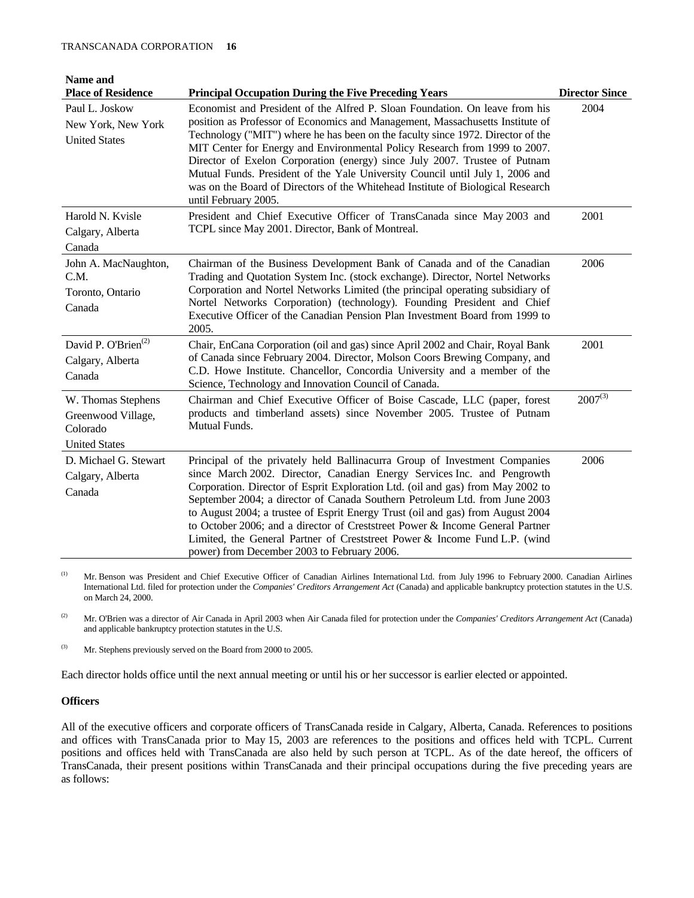| Name and                                                                                  |                                                                                                                                                                                                                                                                                                                                                                                                                                                                                                                                                                                                                                                                         |                               |
|-------------------------------------------------------------------------------------------|-------------------------------------------------------------------------------------------------------------------------------------------------------------------------------------------------------------------------------------------------------------------------------------------------------------------------------------------------------------------------------------------------------------------------------------------------------------------------------------------------------------------------------------------------------------------------------------------------------------------------------------------------------------------------|-------------------------------|
| <b>Place of Residence</b><br>Paul L. Joskow<br>New York, New York<br><b>United States</b> | <b>Principal Occupation During the Five Preceding Years</b><br>Economist and President of the Alfred P. Sloan Foundation. On leave from his<br>position as Professor of Economics and Management, Massachusetts Institute of<br>Technology ("MIT") where he has been on the faculty since 1972. Director of the<br>MIT Center for Energy and Environmental Policy Research from 1999 to 2007.<br>Director of Exelon Corporation (energy) since July 2007. Trustee of Putnam<br>Mutual Funds. President of the Yale University Council until July 1, 2006 and<br>was on the Board of Directors of the Whitehead Institute of Biological Research<br>until February 2005. | <b>Director Since</b><br>2004 |
| Harold N. Kvisle<br>Calgary, Alberta<br>Canada                                            | President and Chief Executive Officer of TransCanada since May 2003 and<br>TCPL since May 2001. Director, Bank of Montreal.                                                                                                                                                                                                                                                                                                                                                                                                                                                                                                                                             | 2001                          |
| John A. MacNaughton,<br>C.M.<br>Toronto, Ontario<br>Canada                                | Chairman of the Business Development Bank of Canada and of the Canadian<br>Trading and Quotation System Inc. (stock exchange). Director, Nortel Networks<br>Corporation and Nortel Networks Limited (the principal operating subsidiary of<br>Nortel Networks Corporation) (technology). Founding President and Chief<br>Executive Officer of the Canadian Pension Plan Investment Board from 1999 to<br>2005.                                                                                                                                                                                                                                                          | 2006                          |
| David P. O'Brien <sup>(2)</sup><br>Calgary, Alberta<br>Canada                             | Chair, EnCana Corporation (oil and gas) since April 2002 and Chair, Royal Bank<br>of Canada since February 2004. Director, Molson Coors Brewing Company, and<br>C.D. Howe Institute. Chancellor, Concordia University and a member of the<br>Science, Technology and Innovation Council of Canada.                                                                                                                                                                                                                                                                                                                                                                      | 2001                          |
| W. Thomas Stephens<br>Greenwood Village,<br>Colorado<br><b>United States</b>              | Chairman and Chief Executive Officer of Boise Cascade, LLC (paper, forest<br>products and timberland assets) since November 2005. Trustee of Putnam<br>Mutual Funds.                                                                                                                                                                                                                                                                                                                                                                                                                                                                                                    | $2007^{(3)}$                  |
| D. Michael G. Stewart<br>Calgary, Alberta<br>Canada                                       | Principal of the privately held Ballinacurra Group of Investment Companies<br>since March 2002. Director, Canadian Energy Services Inc. and Pengrowth<br>Corporation. Director of Esprit Exploration Ltd. (oil and gas) from May 2002 to<br>September 2004; a director of Canada Southern Petroleum Ltd. from June 2003<br>to August 2004; a trustee of Esprit Energy Trust (oil and gas) from August 2004<br>to October 2006; and a director of Creststreet Power & Income General Partner<br>Limited, the General Partner of Creststreet Power & Income Fund L.P. (wind<br>power) from December 2003 to February 2006.                                                | 2006                          |

<sup>(1)</sup> Mr. Benson was President and Chief Executive Officer of Canadian Airlines International Ltd. from July 1996 to February 2000. Canadian Airlines International Ltd. filed for protection under the *Companies' Creditors Arrangement Act* (Canada) and applicable bankruptcy protection statutes in the U.S. on March 24, 2000.

(2) Mr. O'Brien was a director of Air Canada in April 2003 when Air Canada filed for protection under the *Companies' Creditors Arrangement Act* (Canada) and applicable bankruptcy protection statutes in the U.S.

(3) Mr. Stephens previously served on the Board from 2000 to 2005.

Each director holds office until the next annual meeting or until his or her successor is earlier elected or appointed.

# **Officers**

All of the executive officers and corporate officers of TransCanada reside in Calgary, Alberta, Canada. References to positions and offices with TransCanada prior to May 15, 2003 are references to the positions and offices held with TCPL. Current positions and offices held with TransCanada are also held by such person at TCPL. As of the date hereof, the officers of TransCanada, their present positions within TransCanada and their principal occupations during the five preceding years are as follows: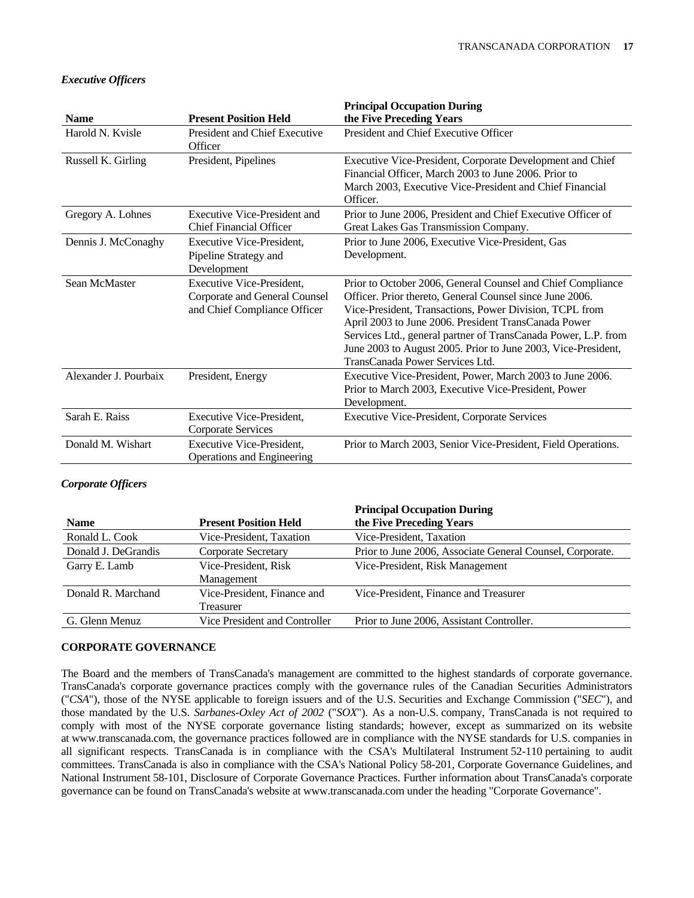|                       |                                                                                            | <b>Principal Occupation During</b>                                                                                                                                                                                                                                                                                                                                                                               |
|-----------------------|--------------------------------------------------------------------------------------------|------------------------------------------------------------------------------------------------------------------------------------------------------------------------------------------------------------------------------------------------------------------------------------------------------------------------------------------------------------------------------------------------------------------|
| <b>Name</b>           | <b>Present Position Held</b>                                                               | the Five Preceding Years                                                                                                                                                                                                                                                                                                                                                                                         |
| Harold N. Kvisle      | President and Chief Executive                                                              | President and Chief Executive Officer                                                                                                                                                                                                                                                                                                                                                                            |
|                       | Officer                                                                                    |                                                                                                                                                                                                                                                                                                                                                                                                                  |
| Russell K. Girling    | President, Pipelines                                                                       | Executive Vice-President, Corporate Development and Chief<br>Financial Officer, March 2003 to June 2006. Prior to<br>March 2003, Executive Vice-President and Chief Financial<br>Officer.                                                                                                                                                                                                                        |
| Gregory A. Lohnes     | <b>Executive Vice-President and</b><br><b>Chief Financial Officer</b>                      | Prior to June 2006, President and Chief Executive Officer of<br>Great Lakes Gas Transmission Company.                                                                                                                                                                                                                                                                                                            |
| Dennis J. McConaghy   | <b>Executive Vice-President.</b>                                                           | Prior to June 2006, Executive Vice-President, Gas                                                                                                                                                                                                                                                                                                                                                                |
|                       | Pipeline Strategy and<br>Development                                                       | Development.                                                                                                                                                                                                                                                                                                                                                                                                     |
| Sean McMaster         | Executive Vice-President,<br>Corporate and General Counsel<br>and Chief Compliance Officer | Prior to October 2006, General Counsel and Chief Compliance<br>Officer. Prior thereto, General Counsel since June 2006.<br>Vice-President, Transactions, Power Division, TCPL from<br>April 2003 to June 2006. President TransCanada Power<br>Services Ltd., general partner of TransCanada Power, L.P. from<br>June 2003 to August 2005. Prior to June 2003, Vice-President,<br>TransCanada Power Services Ltd. |
| Alexander J. Pourbaix | President, Energy                                                                          | Executive Vice-President, Power, March 2003 to June 2006.<br>Prior to March 2003, Executive Vice-President, Power<br>Development.                                                                                                                                                                                                                                                                                |
| Sarah E. Raiss        | Executive Vice-President.<br><b>Corporate Services</b>                                     | <b>Executive Vice-President, Corporate Services</b>                                                                                                                                                                                                                                                                                                                                                              |
| Donald M. Wishart     | Executive Vice-President.<br>Operations and Engineering                                    | Prior to March 2003, Senior Vice-President, Field Operations.                                                                                                                                                                                                                                                                                                                                                    |

# *Executive Officers*

# *Corporate Officers*

| Prior to June 2006, Associate General Counsel, Corporate. |
|-----------------------------------------------------------|
|                                                           |
|                                                           |
|                                                           |
|                                                           |
|                                                           |
|                                                           |

# **CORPORATE GOVERNANCE**

The Board and the members of TransCanada's management are committed to the highest standards of corporate governance. TransCanada's corporate governance practices comply with the governance rules of the Canadian Securities Administrators ("*CSA*"), those of the NYSE applicable to foreign issuers and of the U.S. Securities and Exchange Commission ("*SEC*"), and those mandated by the U.S. *Sarbanes-Oxley Act of 2002* ("*SOX*"). As a non-U.S. company, TransCanada is not required to comply with most of the NYSE corporate governance listing standards; however, except as summarized on its website at www.transcanada.com, the governance practices followed are in compliance with the NYSE standards for U.S. companies in all significant respects. TransCanada is in compliance with the CSA's Multilateral Instrument 52-110 pertaining to audit committees. TransCanada is also in compliance with the CSA's National Policy 58-201, Corporate Governance Guidelines, and National Instrument 58-101, Disclosure of Corporate Governance Practices. Further information about TransCanada's corporate governance can be found on TransCanada's website at www.transcanada.com under the heading "Corporate Governance".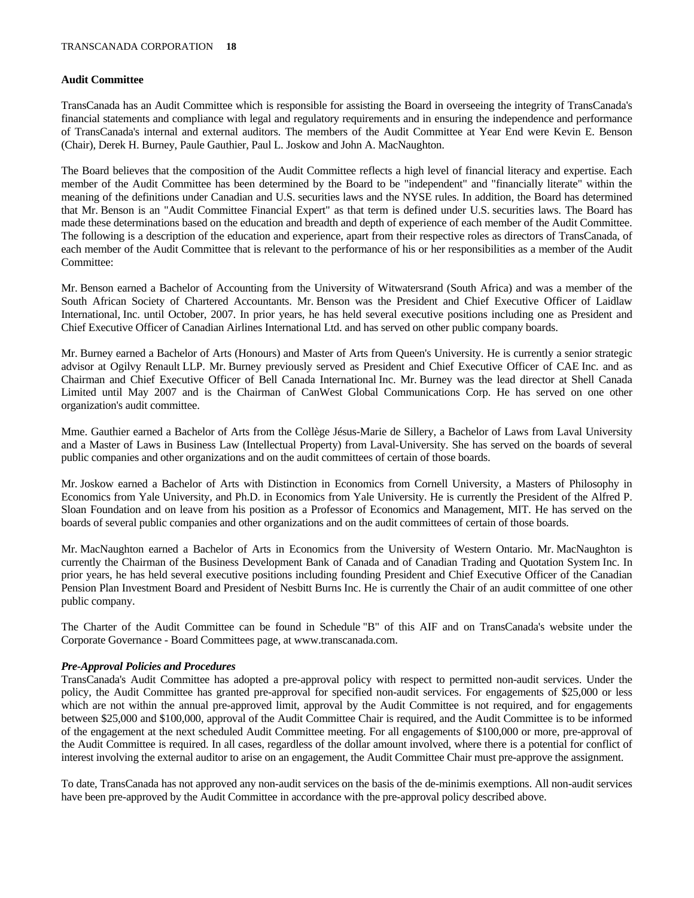#### **Audit Committee**

TransCanada has an Audit Committee which is responsible for assisting the Board in overseeing the integrity of TransCanada's financial statements and compliance with legal and regulatory requirements and in ensuring the independence and performance of TransCanada's internal and external auditors. The members of the Audit Committee at Year End were Kevin E. Benson (Chair), Derek H. Burney, Paule Gauthier, Paul L. Joskow and John A. MacNaughton.

The Board believes that the composition of the Audit Committee reflects a high level of financial literacy and expertise. Each member of the Audit Committee has been determined by the Board to be "independent" and "financially literate" within the meaning of the definitions under Canadian and U.S. securities laws and the NYSE rules. In addition, the Board has determined that Mr. Benson is an "Audit Committee Financial Expert" as that term is defined under U.S. securities laws. The Board has made these determinations based on the education and breadth and depth of experience of each member of the Audit Committee. The following is a description of the education and experience, apart from their respective roles as directors of TransCanada, of each member of the Audit Committee that is relevant to the performance of his or her responsibilities as a member of the Audit Committee:

Mr. Benson earned a Bachelor of Accounting from the University of Witwatersrand (South Africa) and was a member of the South African Society of Chartered Accountants. Mr. Benson was the President and Chief Executive Officer of Laidlaw International, Inc. until October, 2007. In prior years, he has held several executive positions including one as President and Chief Executive Officer of Canadian Airlines International Ltd. and has served on other public company boards.

Mr. Burney earned a Bachelor of Arts (Honours) and Master of Arts from Queen's University. He is currently a senior strategic advisor at Ogilvy Renault LLP. Mr. Burney previously served as President and Chief Executive Officer of CAE Inc. and as Chairman and Chief Executive Officer of Bell Canada International Inc. Mr. Burney was the lead director at Shell Canada Limited until May 2007 and is the Chairman of CanWest Global Communications Corp. He has served on one other organization's audit committee.

Mme. Gauthier earned a Bachelor of Arts from the Collège Jésus-Marie de Sillery, a Bachelor of Laws from Laval University and a Master of Laws in Business Law (Intellectual Property) from Laval-University. She has served on the boards of several public companies and other organizations and on the audit committees of certain of those boards.

Mr. Joskow earned a Bachelor of Arts with Distinction in Economics from Cornell University, a Masters of Philosophy in Economics from Yale University, and Ph.D. in Economics from Yale University. He is currently the President of the Alfred P. Sloan Foundation and on leave from his position as a Professor of Economics and Management, MIT. He has served on the boards of several public companies and other organizations and on the audit committees of certain of those boards.

Mr. MacNaughton earned a Bachelor of Arts in Economics from the University of Western Ontario. Mr. MacNaughton is currently the Chairman of the Business Development Bank of Canada and of Canadian Trading and Quotation System Inc. In prior years, he has held several executive positions including founding President and Chief Executive Officer of the Canadian Pension Plan Investment Board and President of Nesbitt Burns Inc. He is currently the Chair of an audit committee of one other public company.

The Charter of the Audit Committee can be found in Schedule "B" of this AIF and on TransCanada's website under the Corporate Governance - Board Committees page, at www.transcanada.com.

# *Pre-Approval Policies and Procedures*

TransCanada's Audit Committee has adopted a pre-approval policy with respect to permitted non-audit services. Under the policy, the Audit Committee has granted pre-approval for specified non-audit services. For engagements of \$25,000 or less which are not within the annual pre-approved limit, approval by the Audit Committee is not required, and for engagements between \$25,000 and \$100,000, approval of the Audit Committee Chair is required, and the Audit Committee is to be informed of the engagement at the next scheduled Audit Committee meeting. For all engagements of \$100,000 or more, pre-approval of the Audit Committee is required. In all cases, regardless of the dollar amount involved, where there is a potential for conflict of interest involving the external auditor to arise on an engagement, the Audit Committee Chair must pre-approve the assignment.

To date, TransCanada has not approved any non-audit services on the basis of the de-minimis exemptions. All non-audit services have been pre-approved by the Audit Committee in accordance with the pre-approval policy described above.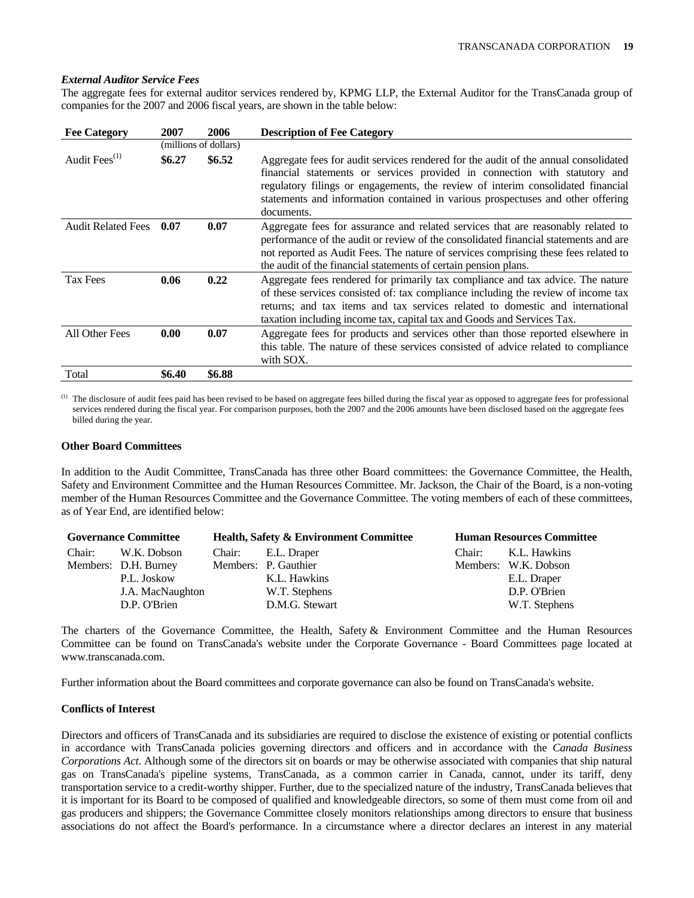#### *External Auditor Service Fees*

The aggregate fees for external auditor services rendered by, KPMG LLP, the External Auditor for the TransCanada group of companies for the 2007 and 2006 fiscal years, are shown in the table below:

| <b>Fee Category</b>       | 2007                  | 2006   | <b>Description of Fee Category</b>                                                                                                                                                                                                                                                                                                                    |
|---------------------------|-----------------------|--------|-------------------------------------------------------------------------------------------------------------------------------------------------------------------------------------------------------------------------------------------------------------------------------------------------------------------------------------------------------|
|                           | (millions of dollars) |        |                                                                                                                                                                                                                                                                                                                                                       |
| Audit Fees <sup>(1)</sup> | \$6.27                | \$6.52 | Aggregate fees for audit services rendered for the audit of the annual consolidated<br>financial statements or services provided in connection with statutory and<br>regulatory filings or engagements, the review of interim consolidated financial<br>statements and information contained in various prospectuses and other offering<br>documents. |
| <b>Audit Related Fees</b> | 0.07                  | 0.07   | Aggregate fees for assurance and related services that are reasonably related to<br>performance of the audit or review of the consolidated financial statements and are<br>not reported as Audit Fees. The nature of services comprising these fees related to<br>the audit of the financial statements of certain pension plans.                     |
| <b>Tax Fees</b>           | 0.06                  | 0.22   | Aggregate fees rendered for primarily tax compliance and tax advice. The nature<br>of these services consisted of: tax compliance including the review of income tax<br>returns; and tax items and tax services related to domestic and international<br>taxation including income tax, capital tax and Goods and Services Tax.                       |
| All Other Fees            | 0.00                  | 0.07   | Aggregate fees for products and services other than those reported elsewhere in<br>this table. The nature of these services consisted of advice related to compliance<br>with SOX.                                                                                                                                                                    |
| Total                     | \$6.40                | \$6.88 |                                                                                                                                                                                                                                                                                                                                                       |

The disclosure of audit fees paid has been revised to be based on aggregate fees billed during the fiscal year as opposed to aggregate fees for professional services rendered during the fiscal year. For comparison purposes, both the 2007 and the 2006 amounts have been disclosed based on the aggregate fees billed during the year.

#### **Other Board Committees**

In addition to the Audit Committee, TransCanada has three other Board committees: the Governance Committee, the Health, Safety and Environment Committee and the Human Resources Committee. Mr. Jackson, the Chair of the Board, is a non-voting member of the Human Resources Committee and the Governance Committee. The voting members of each of these committees, as of Year End, are identified below:

| <b>Governance Committee</b> |                      | <b>Health, Safety &amp; Environment Committee</b> | <b>Human Resources Committee</b> |                      |
|-----------------------------|----------------------|---------------------------------------------------|----------------------------------|----------------------|
| Chair:                      | W.K. Dobson          | Chair: E.L. Draper                                | Chair:                           | K.L. Hawkins         |
|                             | Members: D.H. Burney | Members: P. Gauthier                              |                                  | Members: W.K. Dobson |
|                             | P.L. Joskow          | K.L. Hawkins                                      |                                  | E.L. Draper          |
|                             | J.A. MacNaughton     | W.T. Stephens                                     |                                  | D.P. O'Brien         |
|                             | D.P. O'Brien         | D.M.G. Stewart                                    |                                  | W.T. Stephens        |

The charters of the Governance Committee, the Health, Safety & Environment Committee and the Human Resources Committee can be found on TransCanada's website under the Corporate Governance - Board Committees page located at www.transcanada.com.

Further information about the Board committees and corporate governance can also be found on TransCanada's website.

# **Conflicts of Interest**

Directors and officers of TransCanada and its subsidiaries are required to disclose the existence of existing or potential conflicts in accordance with TransCanada policies governing directors and officers and in accordance with the *Canada Business Corporations Act*. Although some of the directors sit on boards or may be otherwise associated with companies that ship natural gas on TransCanada's pipeline systems, TransCanada, as a common carrier in Canada, cannot, under its tariff, deny transportation service to a credit-worthy shipper. Further, due to the specialized nature of the industry, TransCanada believes that it is important for its Board to be composed of qualified and knowledgeable directors, so some of them must come from oil and gas producers and shippers; the Governance Committee closely monitors relationships among directors to ensure that business associations do not affect the Board's performance. In a circumstance where a director declares an interest in any material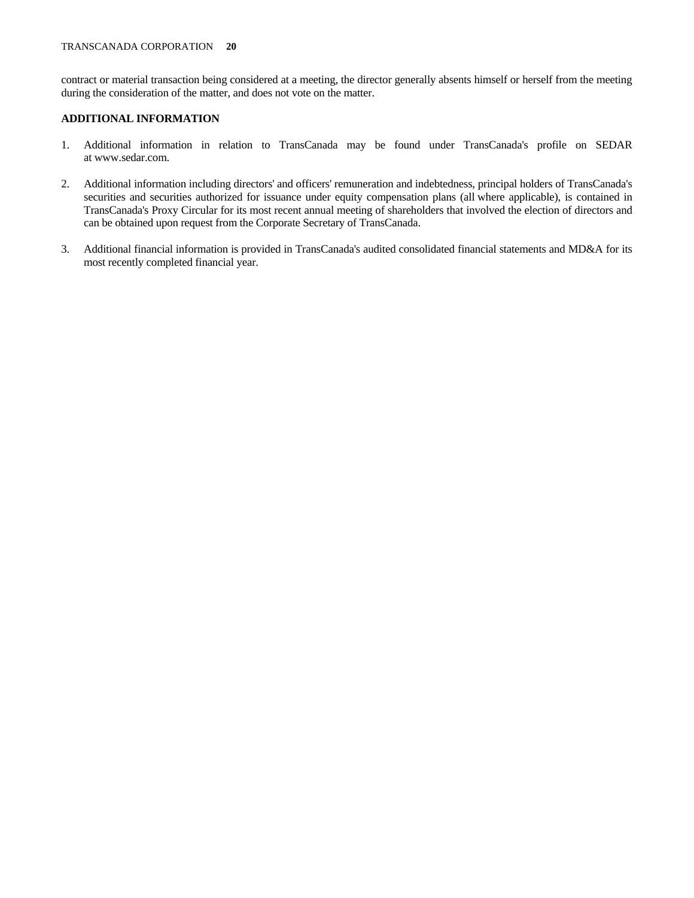contract or material transaction being considered at a meeting, the director generally absents himself or herself from the meeting during the consideration of the matter, and does not vote on the matter.

# **ADDITIONAL INFORMATION**

- 1. Additional information in relation to TransCanada may be found under TransCanada's profile on SEDAR at www.sedar.com.
- 2. Additional information including directors' and officers' remuneration and indebtedness, principal holders of TransCanada's securities and securities authorized for issuance under equity compensation plans (all where applicable), is contained in TransCanada's Proxy Circular for its most recent annual meeting of shareholders that involved the election of directors and can be obtained upon request from the Corporate Secretary of TransCanada.
- 3. Additional financial information is provided in TransCanada's audited consolidated financial statements and MD&A for its most recently completed financial year.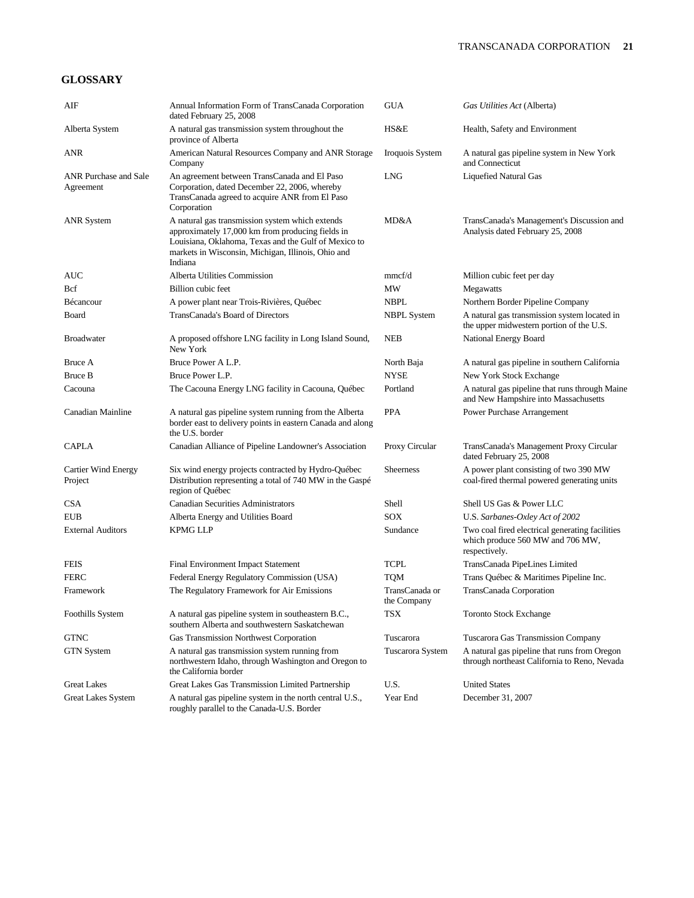# **GLOSSARY**

| AIF                                       | Annual Information Form of TransCanada Corporation<br>dated February 25, 2008                                                                                                                                                | <b>GUA</b>                    | Gas Utilities Act (Alberta)                                                                          |
|-------------------------------------------|------------------------------------------------------------------------------------------------------------------------------------------------------------------------------------------------------------------------------|-------------------------------|------------------------------------------------------------------------------------------------------|
| Alberta System                            | A natural gas transmission system throughout the<br>province of Alberta                                                                                                                                                      | HS&E                          | Health, Safety and Environment                                                                       |
| ANR                                       | American Natural Resources Company and ANR Storage<br>Company                                                                                                                                                                | Iroquois System               | A natural gas pipeline system in New York<br>and Connecticut                                         |
| <b>ANR Purchase and Sale</b><br>Agreement | An agreement between TransCanada and El Paso<br>Corporation, dated December 22, 2006, whereby<br>TransCanada agreed to acquire ANR from El Paso<br>Corporation                                                               | <b>LNG</b>                    | Liquefied Natural Gas                                                                                |
| <b>ANR System</b>                         | A natural gas transmission system which extends<br>approximately 17,000 km from producing fields in<br>Louisiana, Oklahoma, Texas and the Gulf of Mexico to<br>markets in Wisconsin, Michigan, Illinois, Ohio and<br>Indiana | MD&A                          | TransCanada's Management's Discussion and<br>Analysis dated February 25, 2008                        |
| AUC                                       | Alberta Utilities Commission                                                                                                                                                                                                 | mmcf/d                        | Million cubic feet per day                                                                           |
| <b>B</b> cf                               | Billion cubic feet                                                                                                                                                                                                           | МW                            | Megawatts                                                                                            |
| Bécancour                                 | A power plant near Trois-Rivières, Québec                                                                                                                                                                                    | <b>NBPL</b>                   | Northern Border Pipeline Company                                                                     |
| Board                                     | TransCanada's Board of Directors                                                                                                                                                                                             | <b>NBPL System</b>            | A natural gas transmission system located in<br>the upper midwestern portion of the U.S.             |
| <b>Broadwater</b>                         | A proposed offshore LNG facility in Long Island Sound,<br>New York                                                                                                                                                           | <b>NEB</b>                    | National Energy Board                                                                                |
| Bruce A                                   | Bruce Power A L.P.                                                                                                                                                                                                           | North Baja                    | A natural gas pipeline in southern California                                                        |
| Bruce B                                   | Bruce Power L.P.                                                                                                                                                                                                             | <b>NYSE</b>                   | New York Stock Exchange                                                                              |
| Cacouna                                   | The Cacouna Energy LNG facility in Cacouna, Québec                                                                                                                                                                           | Portland                      | A natural gas pipeline that runs through Maine<br>and New Hampshire into Massachusetts               |
| Canadian Mainline                         | A natural gas pipeline system running from the Alberta<br>border east to delivery points in eastern Canada and along<br>the U.S. border                                                                                      | <b>PPA</b>                    | Power Purchase Arrangement                                                                           |
| <b>CAPLA</b>                              | Canadian Alliance of Pipeline Landowner's Association                                                                                                                                                                        | Proxy Circular                | TransCanada's Management Proxy Circular<br>dated February 25, 2008                                   |
| Cartier Wind Energy<br>Project            | Six wind energy projects contracted by Hydro-Québec<br>Distribution representing a total of 740 MW in the Gaspé<br>region of Québec                                                                                          | <b>Sheerness</b>              | A power plant consisting of two 390 MW<br>coal-fired thermal powered generating units                |
| <b>CSA</b>                                | <b>Canadian Securities Administrators</b>                                                                                                                                                                                    | Shell                         | Shell US Gas & Power LLC                                                                             |
| <b>EUB</b>                                | Alberta Energy and Utilities Board                                                                                                                                                                                           | SOX                           | U.S. Sarbanes-Oxley Act of 2002                                                                      |
| <b>External Auditors</b>                  | <b>KPMG LLP</b>                                                                                                                                                                                                              | Sundance                      | Two coal fired electrical generating facilities<br>which produce 560 MW and 706 MW,<br>respectively. |
| <b>FEIS</b>                               | Final Environment Impact Statement                                                                                                                                                                                           | TCPL                          | TransCanada PipeLines Limited                                                                        |
| <b>FERC</b>                               | Federal Energy Regulatory Commission (USA)                                                                                                                                                                                   | <b>TQM</b>                    | Trans Québec & Maritimes Pipeline Inc.                                                               |
| Framework                                 | The Regulatory Framework for Air Emissions                                                                                                                                                                                   | TransCanada or<br>the Company | TransCanada Corporation                                                                              |
| Foothills System                          | A natural gas pipeline system in southeastern B.C.,<br>southern Alberta and southwestern Saskatchewan                                                                                                                        | TSX                           | <b>Toronto Stock Exchange</b>                                                                        |
| <b>GTNC</b>                               | <b>Gas Transmission Northwest Corporation</b>                                                                                                                                                                                | Tuscarora                     | Tuscarora Gas Transmission Company                                                                   |
| <b>GTN</b> System                         | A natural gas transmission system running from<br>northwestern Idaho, through Washington and Oregon to<br>the California border                                                                                              | Tuscarora System              | A natural gas pipeline that runs from Oregon<br>through northeast California to Reno, Nevada         |
| <b>Great Lakes</b>                        | Great Lakes Gas Transmission Limited Partnership                                                                                                                                                                             | U.S.                          | <b>United States</b>                                                                                 |
| Great Lakes System                        | A natural gas pipeline system in the north central U.S.,<br>roughly parallel to the Canada-U.S. Border                                                                                                                       | Year End                      | December 31, 2007                                                                                    |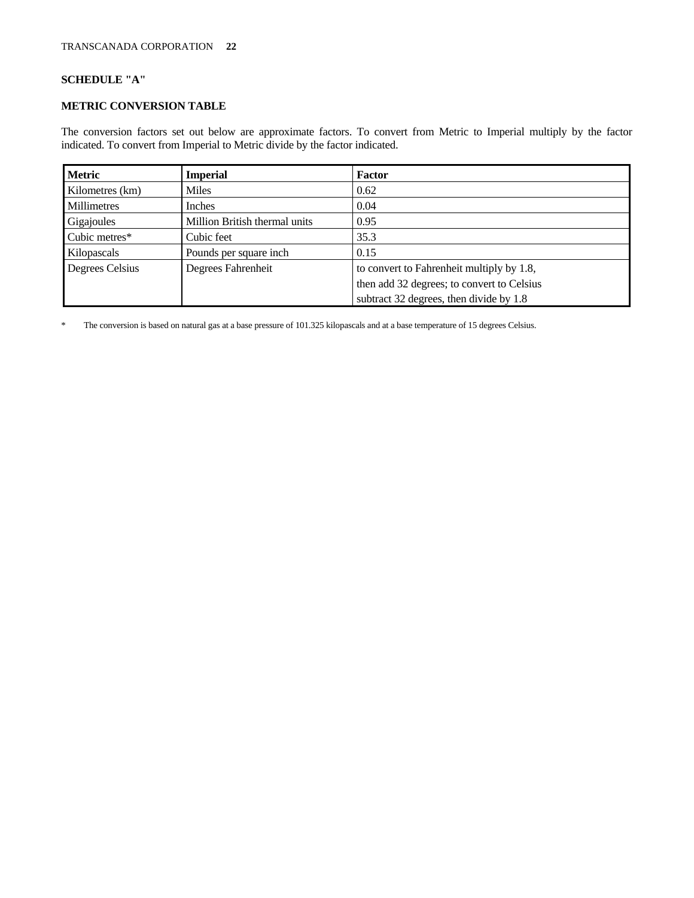# **SCHEDULE "A"**

# **METRIC CONVERSION TABLE**

The conversion factors set out below are approximate factors. To convert from Metric to Imperial multiply by the factor indicated. To convert from Imperial to Metric divide by the factor indicated.

| <b>Metric</b>   | <b>Imperial</b>               | <b>Factor</b>                              |
|-----------------|-------------------------------|--------------------------------------------|
| Kilometres (km) | Miles                         | 0.62                                       |
| Millimetres     | Inches                        | 0.04                                       |
| Gigajoules      | Million British thermal units | 0.95                                       |
| Cubic metres*   | Cubic feet                    | 35.3                                       |
| Kilopascals     | Pounds per square inch        | 0.15                                       |
| Degrees Celsius | Degrees Fahrenheit            | to convert to Fahrenheit multiply by 1.8,  |
|                 |                               | then add 32 degrees; to convert to Celsius |
|                 |                               | subtract 32 degrees, then divide by 1.8    |

\* The conversion is based on natural gas at a base pressure of 101.325 kilopascals and at a base temperature of 15 degrees Celsius.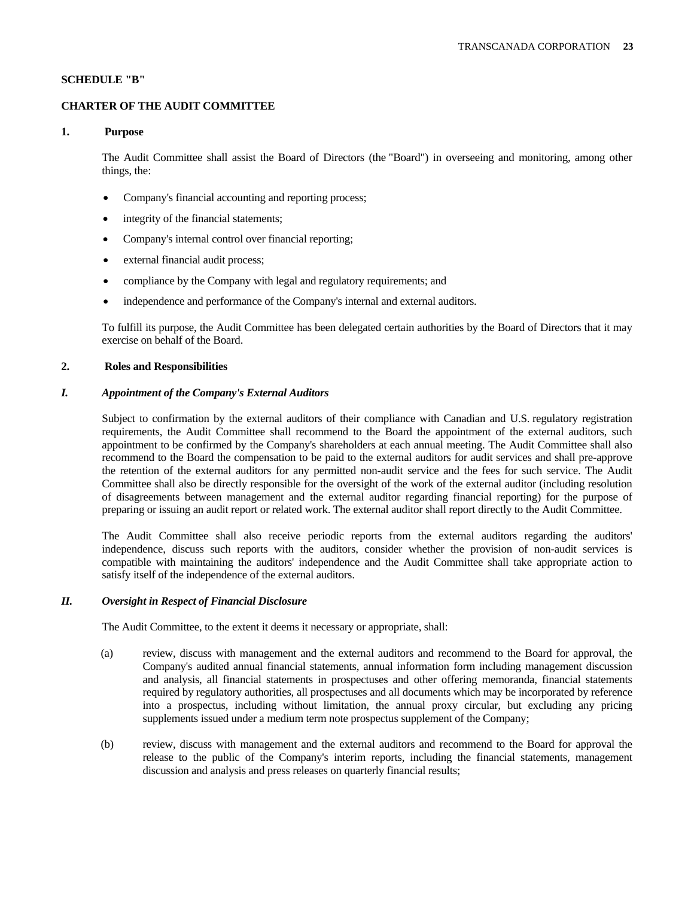# **SCHEDULE "B"**

### **CHARTER OF THE AUDIT COMMITTEE**

# **1. Purpose**

 The Audit Committee shall assist the Board of Directors (the "Board") in overseeing and monitoring, among other things, the:

- Company's financial accounting and reporting process;
- integrity of the financial statements;
- Company's internal control over financial reporting;
- external financial audit process;
- compliance by the Company with legal and regulatory requirements; and
- independence and performance of the Company's internal and external auditors.

 To fulfill its purpose, the Audit Committee has been delegated certain authorities by the Board of Directors that it may exercise on behalf of the Board.

#### **2. Roles and Responsibilities**

# *I. Appointment of the Company's External Auditors*

 Subject to confirmation by the external auditors of their compliance with Canadian and U.S. regulatory registration requirements, the Audit Committee shall recommend to the Board the appointment of the external auditors, such appointment to be confirmed by the Company's shareholders at each annual meeting. The Audit Committee shall also recommend to the Board the compensation to be paid to the external auditors for audit services and shall pre-approve the retention of the external auditors for any permitted non-audit service and the fees for such service. The Audit Committee shall also be directly responsible for the oversight of the work of the external auditor (including resolution of disagreements between management and the external auditor regarding financial reporting) for the purpose of preparing or issuing an audit report or related work. The external auditor shall report directly to the Audit Committee.

 The Audit Committee shall also receive periodic reports from the external auditors regarding the auditors' independence, discuss such reports with the auditors, consider whether the provision of non-audit services is compatible with maintaining the auditors' independence and the Audit Committee shall take appropriate action to satisfy itself of the independence of the external auditors.

#### *II. Oversight in Respect of Financial Disclosure*

The Audit Committee, to the extent it deems it necessary or appropriate, shall:

- (a) review, discuss with management and the external auditors and recommend to the Board for approval, the Company's audited annual financial statements, annual information form including management discussion and analysis, all financial statements in prospectuses and other offering memoranda, financial statements required by regulatory authorities, all prospectuses and all documents which may be incorporated by reference into a prospectus, including without limitation, the annual proxy circular, but excluding any pricing supplements issued under a medium term note prospectus supplement of the Company;
- (b) review, discuss with management and the external auditors and recommend to the Board for approval the release to the public of the Company's interim reports, including the financial statements, management discussion and analysis and press releases on quarterly financial results;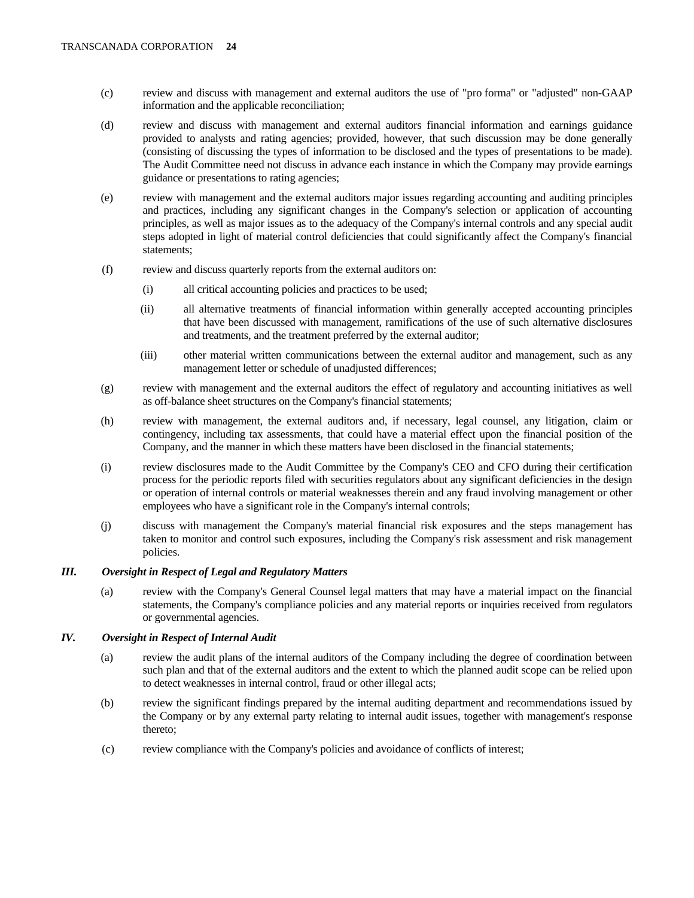- (c) review and discuss with management and external auditors the use of "pro forma" or "adjusted" non-GAAP information and the applicable reconciliation;
- (d) review and discuss with management and external auditors financial information and earnings guidance provided to analysts and rating agencies; provided, however, that such discussion may be done generally (consisting of discussing the types of information to be disclosed and the types of presentations to be made). The Audit Committee need not discuss in advance each instance in which the Company may provide earnings guidance or presentations to rating agencies;
- (e) review with management and the external auditors major issues regarding accounting and auditing principles and practices, including any significant changes in the Company's selection or application of accounting principles, as well as major issues as to the adequacy of the Company's internal controls and any special audit steps adopted in light of material control deficiencies that could significantly affect the Company's financial statements;
- (f) review and discuss quarterly reports from the external auditors on:
	- (i) all critical accounting policies and practices to be used;
	- (ii) all alternative treatments of financial information within generally accepted accounting principles that have been discussed with management, ramifications of the use of such alternative disclosures and treatments, and the treatment preferred by the external auditor;
	- (iii) other material written communications between the external auditor and management, such as any management letter or schedule of unadjusted differences;
- (g) review with management and the external auditors the effect of regulatory and accounting initiatives as well as off-balance sheet structures on the Company's financial statements;
- (h) review with management, the external auditors and, if necessary, legal counsel, any litigation, claim or contingency, including tax assessments, that could have a material effect upon the financial position of the Company, and the manner in which these matters have been disclosed in the financial statements;
- (i) review disclosures made to the Audit Committee by the Company's CEO and CFO during their certification process for the periodic reports filed with securities regulators about any significant deficiencies in the design or operation of internal controls or material weaknesses therein and any fraud involving management or other employees who have a significant role in the Company's internal controls;
- (j) discuss with management the Company's material financial risk exposures and the steps management has taken to monitor and control such exposures, including the Company's risk assessment and risk management policies.

# *III. Oversight in Respect of Legal and Regulatory Matters*

 (a) review with the Company's General Counsel legal matters that may have a material impact on the financial statements, the Company's compliance policies and any material reports or inquiries received from regulators or governmental agencies.

# *IV. Oversight in Respect of Internal Audit*

- (a) review the audit plans of the internal auditors of the Company including the degree of coordination between such plan and that of the external auditors and the extent to which the planned audit scope can be relied upon to detect weaknesses in internal control, fraud or other illegal acts;
- (b) review the significant findings prepared by the internal auditing department and recommendations issued by the Company or by any external party relating to internal audit issues, together with management's response thereto;
- (c) review compliance with the Company's policies and avoidance of conflicts of interest;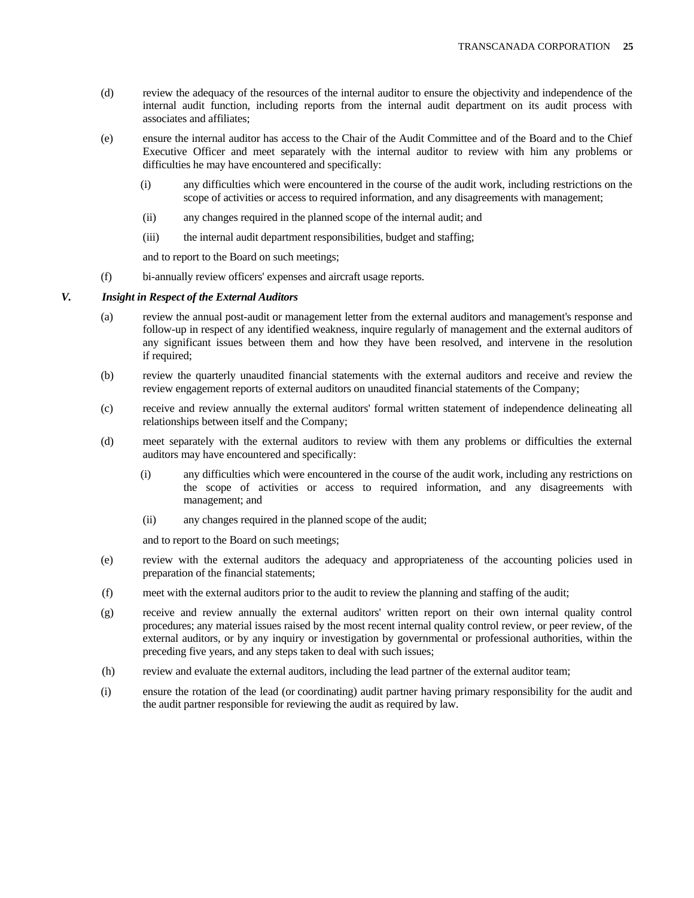- (d) review the adequacy of the resources of the internal auditor to ensure the objectivity and independence of the internal audit function, including reports from the internal audit department on its audit process with associates and affiliates;
- (e) ensure the internal auditor has access to the Chair of the Audit Committee and of the Board and to the Chief Executive Officer and meet separately with the internal auditor to review with him any problems or difficulties he may have encountered and specifically:
	- (i) any difficulties which were encountered in the course of the audit work, including restrictions on the scope of activities or access to required information, and any disagreements with management;
	- (ii) any changes required in the planned scope of the internal audit; and
	- (iii) the internal audit department responsibilities, budget and staffing;

and to report to the Board on such meetings;

(f) bi-annually review officers' expenses and aircraft usage reports.

#### *V. Insight in Respect of the External Auditors*

- (a) review the annual post-audit or management letter from the external auditors and management's response and follow-up in respect of any identified weakness, inquire regularly of management and the external auditors of any significant issues between them and how they have been resolved, and intervene in the resolution if required;
- (b) review the quarterly unaudited financial statements with the external auditors and receive and review the review engagement reports of external auditors on unaudited financial statements of the Company;
- (c) receive and review annually the external auditors' formal written statement of independence delineating all relationships between itself and the Company;
- (d) meet separately with the external auditors to review with them any problems or difficulties the external auditors may have encountered and specifically:
	- (i) any difficulties which were encountered in the course of the audit work, including any restrictions on the scope of activities or access to required information, and any disagreements with management; and
	- (ii) any changes required in the planned scope of the audit;

and to report to the Board on such meetings;

- (e) review with the external auditors the adequacy and appropriateness of the accounting policies used in preparation of the financial statements;
- (f) meet with the external auditors prior to the audit to review the planning and staffing of the audit;
- (g) receive and review annually the external auditors' written report on their own internal quality control procedures; any material issues raised by the most recent internal quality control review, or peer review, of the external auditors, or by any inquiry or investigation by governmental or professional authorities, within the preceding five years, and any steps taken to deal with such issues;
- (h) review and evaluate the external auditors, including the lead partner of the external auditor team;
- (i) ensure the rotation of the lead (or coordinating) audit partner having primary responsibility for the audit and the audit partner responsible for reviewing the audit as required by law.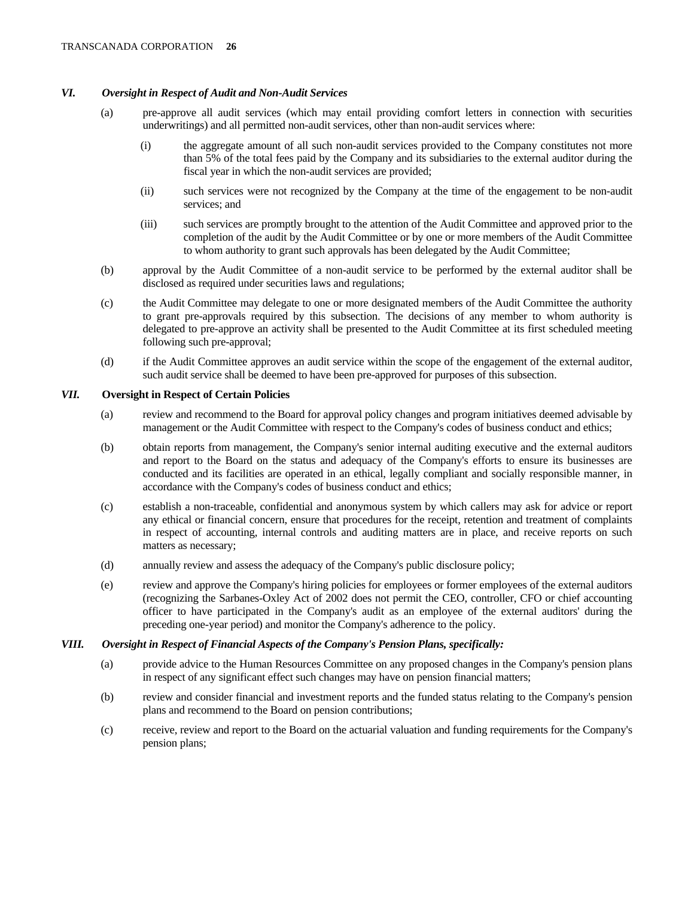# *VI. Oversight in Respect of Audit and Non-Audit Services*

- (a) pre-approve all audit services (which may entail providing comfort letters in connection with securities underwritings) and all permitted non-audit services, other than non-audit services where:
	- (i) the aggregate amount of all such non-audit services provided to the Company constitutes not more than 5% of the total fees paid by the Company and its subsidiaries to the external auditor during the fiscal year in which the non-audit services are provided;
	- (ii) such services were not recognized by the Company at the time of the engagement to be non-audit services; and
	- (iii) such services are promptly brought to the attention of the Audit Committee and approved prior to the completion of the audit by the Audit Committee or by one or more members of the Audit Committee to whom authority to grant such approvals has been delegated by the Audit Committee;
- (b) approval by the Audit Committee of a non-audit service to be performed by the external auditor shall be disclosed as required under securities laws and regulations;
- (c) the Audit Committee may delegate to one or more designated members of the Audit Committee the authority to grant pre-approvals required by this subsection. The decisions of any member to whom authority is delegated to pre-approve an activity shall be presented to the Audit Committee at its first scheduled meeting following such pre-approval;
- (d) if the Audit Committee approves an audit service within the scope of the engagement of the external auditor, such audit service shall be deemed to have been pre-approved for purposes of this subsection.

# *VII.* **Oversight in Respect of Certain Policies**

- (a) review and recommend to the Board for approval policy changes and program initiatives deemed advisable by management or the Audit Committee with respect to the Company's codes of business conduct and ethics;
- (b) obtain reports from management, the Company's senior internal auditing executive and the external auditors and report to the Board on the status and adequacy of the Company's efforts to ensure its businesses are conducted and its facilities are operated in an ethical, legally compliant and socially responsible manner, in accordance with the Company's codes of business conduct and ethics;
- (c) establish a non-traceable, confidential and anonymous system by which callers may ask for advice or report any ethical or financial concern, ensure that procedures for the receipt, retention and treatment of complaints in respect of accounting, internal controls and auditing matters are in place, and receive reports on such matters as necessary;
- (d) annually review and assess the adequacy of the Company's public disclosure policy;
- (e) review and approve the Company's hiring policies for employees or former employees of the external auditors (recognizing the Sarbanes-Oxley Act of 2002 does not permit the CEO, controller, CFO or chief accounting officer to have participated in the Company's audit as an employee of the external auditors' during the preceding one-year period) and monitor the Company's adherence to the policy.

# *VIII. Oversight in Respect of Financial Aspects of the Company's Pension Plans, specifically:*

- (a) provide advice to the Human Resources Committee on any proposed changes in the Company's pension plans in respect of any significant effect such changes may have on pension financial matters;
- (b) review and consider financial and investment reports and the funded status relating to the Company's pension plans and recommend to the Board on pension contributions;
- (c) receive, review and report to the Board on the actuarial valuation and funding requirements for the Company's pension plans;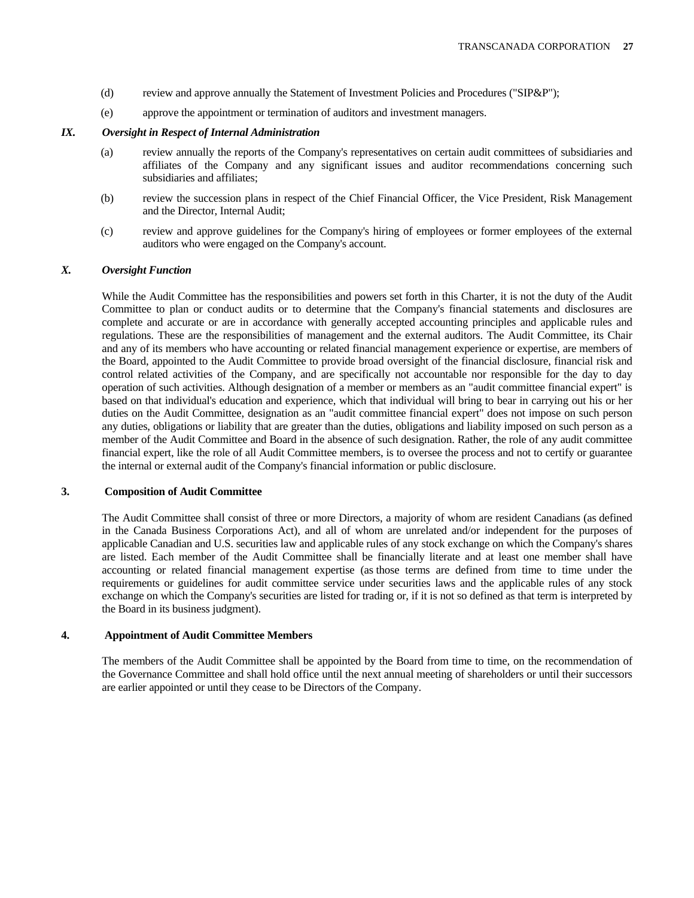- (d) review and approve annually the Statement of Investment Policies and Procedures ("SIP&P");
- (e) approve the appointment or termination of auditors and investment managers.

# *IX. Oversight in Respect of Internal Administration*

- (a) review annually the reports of the Company's representatives on certain audit committees of subsidiaries and affiliates of the Company and any significant issues and auditor recommendations concerning such subsidiaries and affiliates;
- (b) review the succession plans in respect of the Chief Financial Officer, the Vice President, Risk Management and the Director, Internal Audit;
- (c) review and approve guidelines for the Company's hiring of employees or former employees of the external auditors who were engaged on the Company's account.

# *X. Oversight Function*

 While the Audit Committee has the responsibilities and powers set forth in this Charter, it is not the duty of the Audit Committee to plan or conduct audits or to determine that the Company's financial statements and disclosures are complete and accurate or are in accordance with generally accepted accounting principles and applicable rules and regulations. These are the responsibilities of management and the external auditors. The Audit Committee, its Chair and any of its members who have accounting or related financial management experience or expertise, are members of the Board, appointed to the Audit Committee to provide broad oversight of the financial disclosure, financial risk and control related activities of the Company, and are specifically not accountable nor responsible for the day to day operation of such activities. Although designation of a member or members as an "audit committee financial expert" is based on that individual's education and experience, which that individual will bring to bear in carrying out his or her duties on the Audit Committee, designation as an "audit committee financial expert" does not impose on such person any duties, obligations or liability that are greater than the duties, obligations and liability imposed on such person as a member of the Audit Committee and Board in the absence of such designation. Rather, the role of any audit committee financial expert, like the role of all Audit Committee members, is to oversee the process and not to certify or guarantee the internal or external audit of the Company's financial information or public disclosure.

# **3. Composition of Audit Committee**

 The Audit Committee shall consist of three or more Directors, a majority of whom are resident Canadians (as defined in the Canada Business Corporations Act), and all of whom are unrelated and/or independent for the purposes of applicable Canadian and U.S. securities law and applicable rules of any stock exchange on which the Company's shares are listed. Each member of the Audit Committee shall be financially literate and at least one member shall have accounting or related financial management expertise (as those terms are defined from time to time under the requirements or guidelines for audit committee service under securities laws and the applicable rules of any stock exchange on which the Company's securities are listed for trading or, if it is not so defined as that term is interpreted by the Board in its business judgment).

# **4. Appointment of Audit Committee Members**

 The members of the Audit Committee shall be appointed by the Board from time to time, on the recommendation of the Governance Committee and shall hold office until the next annual meeting of shareholders or until their successors are earlier appointed or until they cease to be Directors of the Company.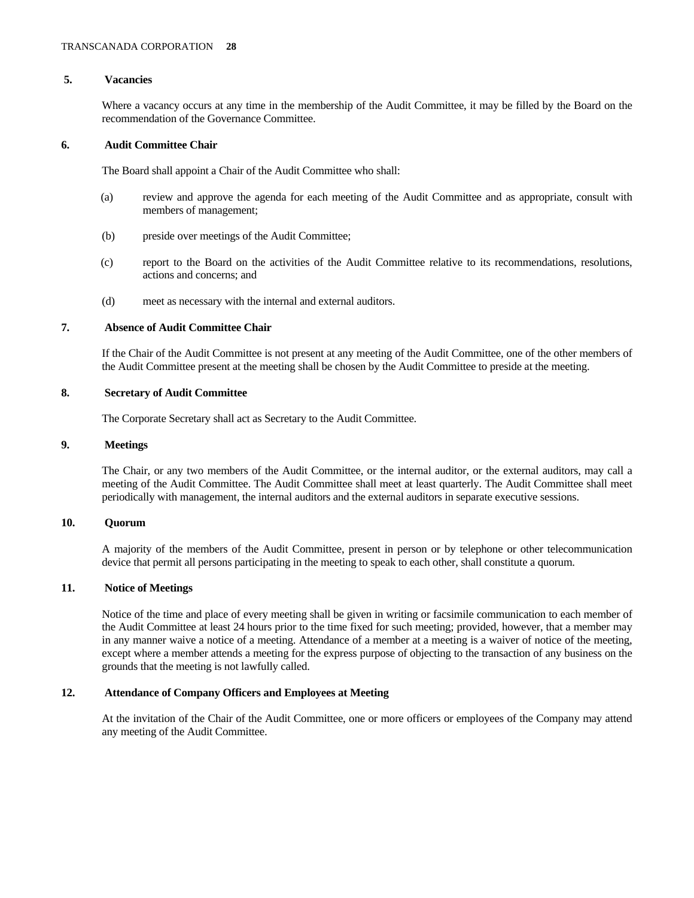# **5. Vacancies**

 Where a vacancy occurs at any time in the membership of the Audit Committee, it may be filled by the Board on the recommendation of the Governance Committee.

# **6. Audit Committee Chair**

The Board shall appoint a Chair of the Audit Committee who shall:

- (a) review and approve the agenda for each meeting of the Audit Committee and as appropriate, consult with members of management;
- (b) preside over meetings of the Audit Committee;
- (c) report to the Board on the activities of the Audit Committee relative to its recommendations, resolutions, actions and concerns; and
- (d) meet as necessary with the internal and external auditors.

# **7. Absence of Audit Committee Chair**

 If the Chair of the Audit Committee is not present at any meeting of the Audit Committee, one of the other members of the Audit Committee present at the meeting shall be chosen by the Audit Committee to preside at the meeting.

# **8. Secretary of Audit Committee**

The Corporate Secretary shall act as Secretary to the Audit Committee.

# **9. Meetings**

 The Chair, or any two members of the Audit Committee, or the internal auditor, or the external auditors, may call a meeting of the Audit Committee. The Audit Committee shall meet at least quarterly. The Audit Committee shall meet periodically with management, the internal auditors and the external auditors in separate executive sessions.

# **10. Quorum**

 A majority of the members of the Audit Committee, present in person or by telephone or other telecommunication device that permit all persons participating in the meeting to speak to each other, shall constitute a quorum.

# **11. Notice of Meetings**

 Notice of the time and place of every meeting shall be given in writing or facsimile communication to each member of the Audit Committee at least 24 hours prior to the time fixed for such meeting; provided, however, that a member may in any manner waive a notice of a meeting. Attendance of a member at a meeting is a waiver of notice of the meeting, except where a member attends a meeting for the express purpose of objecting to the transaction of any business on the grounds that the meeting is not lawfully called.

# **12. Attendance of Company Officers and Employees at Meeting**

 At the invitation of the Chair of the Audit Committee, one or more officers or employees of the Company may attend any meeting of the Audit Committee.